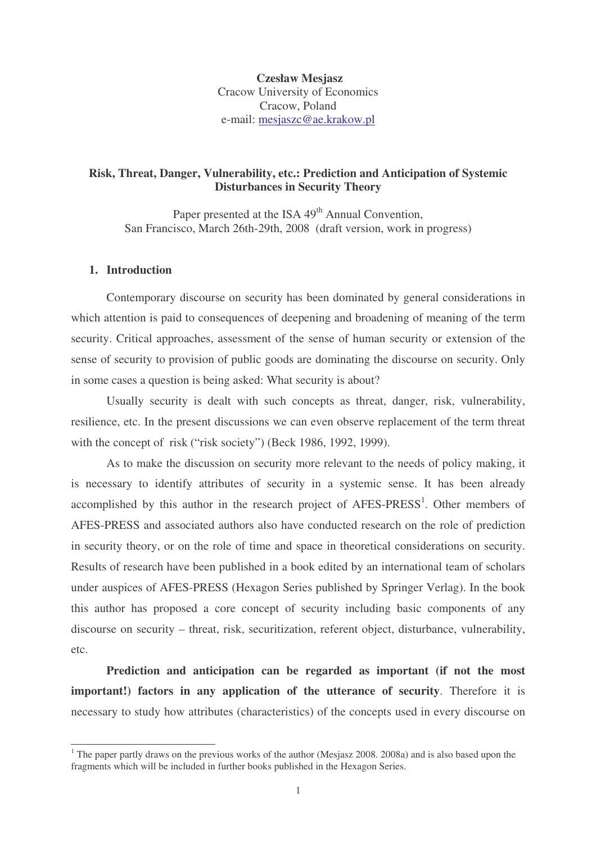**Czesław Mesjasz** Cracow University of Economics Cracow, Poland e-mail: mesjaszc@ae.krakow.pl

# **Risk, Threat, Danger, Vulnerability, etc.: Prediction and Anticipation of Systemic Disturbances in Security Theory**

Paper presented at the ISA 49<sup>th</sup> Annual Convention, San Francisco, March 26th-29th, 2008 (draft version, work in progress)

# **1. Introduction**

Contemporary discourse on security has been dominated by general considerations in which attention is paid to consequences of deepening and broadening of meaning of the term security. Critical approaches, assessment of the sense of human security or extension of the sense of security to provision of public goods are dominating the discourse on security. Only in some cases a question is being asked: What security is about?

Usually security is dealt with such concepts as threat, danger, risk, vulnerability, resilience, etc. In the present discussions we can even observe replacement of the term threat with the concept of risk ("risk society") (Beck 1986, 1992, 1999).

As to make the discussion on security more relevant to the needs of policy making, it is necessary to identify attributes of security in a systemic sense. It has been already accomplished by this author in the research project of AFES-PRESS<sup>1</sup>. Other members of AFES-PRESS and associated authors also have conducted research on the role of prediction in security theory, or on the role of time and space in theoretical considerations on security. Results of research have been published in a book edited by an international team of scholars under auspices of AFES-PRESS (Hexagon Series published by Springer Verlag). In the book this author has proposed a core concept of security including basic components of any discourse on security – threat, risk, securitization, referent object, disturbance, vulnerability, etc.

**Prediction and anticipation can be regarded as important (if not the most important!) factors in any application of the utterance of security**. Therefore it is necessary to study how attributes (characteristics) of the concepts used in every discourse on

<sup>&</sup>lt;sup>1</sup> The paper partly draws on the previous works of the author (Mesjasz 2008. 2008a) and is also based upon the fragments which will be included in further books published in the Hexagon Series.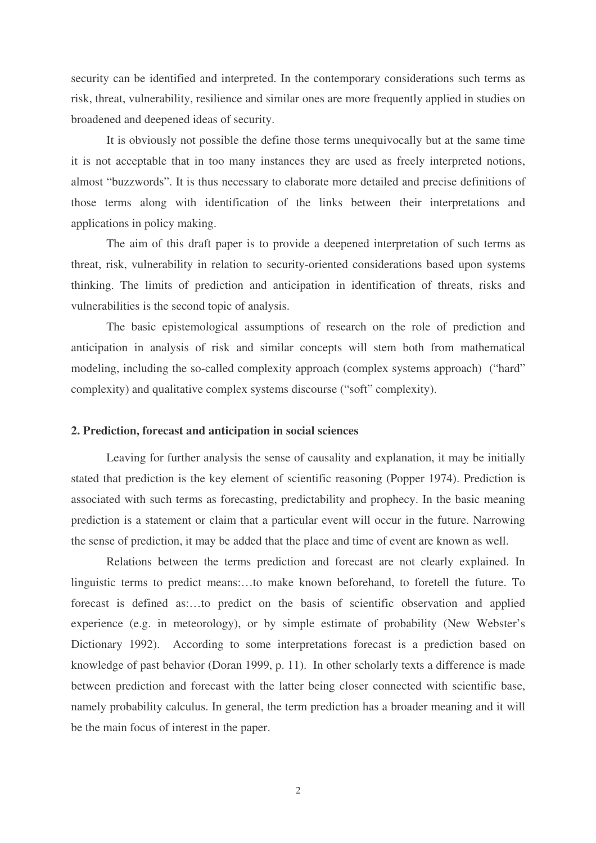security can be identified and interpreted. In the contemporary considerations such terms as risk, threat, vulnerability, resilience and similar ones are more frequently applied in studies on broadened and deepened ideas of security.

It is obviously not possible the define those terms unequivocally but at the same time it is not acceptable that in too many instances they are used as freely interpreted notions, almost "buzzwords". It is thus necessary to elaborate more detailed and precise definitions of those terms along with identification of the links between their interpretations and applications in policy making.

The aim of this draft paper is to provide a deepened interpretation of such terms as threat, risk, vulnerability in relation to security-oriented considerations based upon systems thinking. The limits of prediction and anticipation in identification of threats, risks and vulnerabilities is the second topic of analysis.

The basic epistemological assumptions of research on the role of prediction and anticipation in analysis of risk and similar concepts will stem both from mathematical modeling, including the so-called complexity approach (complex systems approach) ("hard" complexity) and qualitative complex systems discourse ("soft" complexity).

#### **2. Prediction, forecast and anticipation in social sciences**

Leaving for further analysis the sense of causality and explanation, it may be initially stated that prediction is the key element of scientific reasoning (Popper 1974). Prediction is associated with such terms as forecasting, predictability and prophecy. In the basic meaning prediction is a statement or claim that a particular event will occur in the future. Narrowing the sense of prediction, it may be added that the place and time of event are known as well.

Relations between the terms prediction and forecast are not clearly explained. In linguistic terms to predict means:…to make known beforehand, to foretell the future. To forecast is defined as:…to predict on the basis of scientific observation and applied experience (e.g. in meteorology), or by simple estimate of probability (New Webster's Dictionary 1992). According to some interpretations forecast is a prediction based on knowledge of past behavior (Doran 1999, p. 11). In other scholarly texts a difference is made between prediction and forecast with the latter being closer connected with scientific base, namely probability calculus. In general, the term prediction has a broader meaning and it will be the main focus of interest in the paper.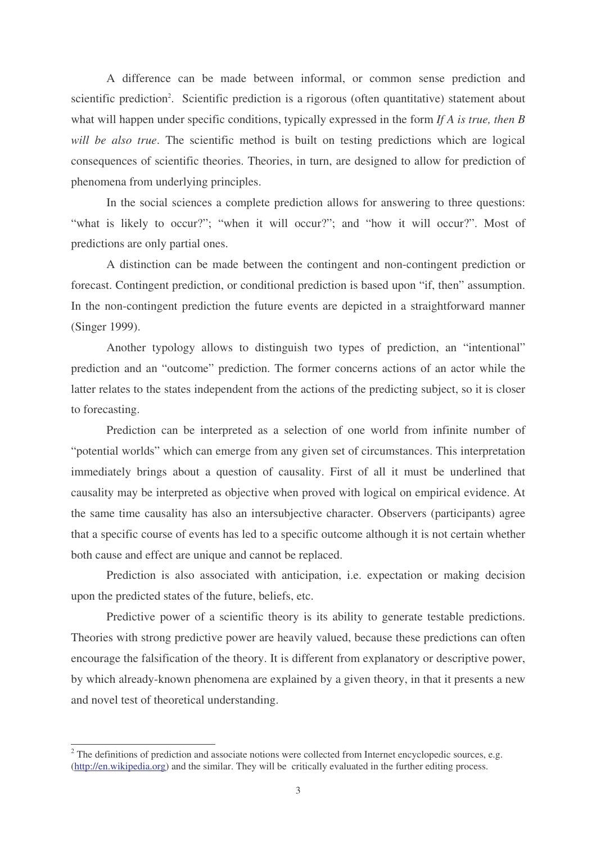A difference can be made between informal, or common sense prediction and scientific prediction<sup>2</sup>. Scientific prediction is a rigorous (often quantitative) statement about what will happen under specific conditions, typically expressed in the form *If A is true, then B will be also true*. The scientific method is built on testing predictions which are logical consequences of scientific theories. Theories, in turn, are designed to allow for prediction of phenomena from underlying principles.

In the social sciences a complete prediction allows for answering to three questions: "what is likely to occur?"; "when it will occur?"; and "how it will occur?". Most of predictions are only partial ones.

A distinction can be made between the contingent and non-contingent prediction or forecast. Contingent prediction, or conditional prediction is based upon "if, then" assumption. In the non-contingent prediction the future events are depicted in a straightforward manner (Singer 1999).

Another typology allows to distinguish two types of prediction, an "intentional" prediction and an "outcome" prediction. The former concerns actions of an actor while the latter relates to the states independent from the actions of the predicting subject, so it is closer to forecasting.

Prediction can be interpreted as a selection of one world from infinite number of "potential worlds" which can emerge from any given set of circumstances. This interpretation immediately brings about a question of causality. First of all it must be underlined that causality may be interpreted as objective when proved with logical on empirical evidence. At the same time causality has also an intersubjective character. Observers (participants) agree that a specific course of events has led to a specific outcome although it is not certain whether both cause and effect are unique and cannot be replaced.

Prediction is also associated with anticipation, i.e. expectation or making decision upon the predicted states of the future, beliefs, etc.

Predictive power of a scientific theory is its ability to generate testable predictions. Theories with strong predictive power are heavily valued, because these predictions can often encourage the falsification of the theory. It is different from explanatory or descriptive power, by which already-known phenomena are explained by a given theory, in that it presents a new and novel test of theoretical understanding.

<sup>&</sup>lt;sup>2</sup> The definitions of prediction and associate notions were collected from Internet encyclopedic sources, e.g. (http://en.wikipedia.org) and the similar. They will be critically evaluated in the further editing process.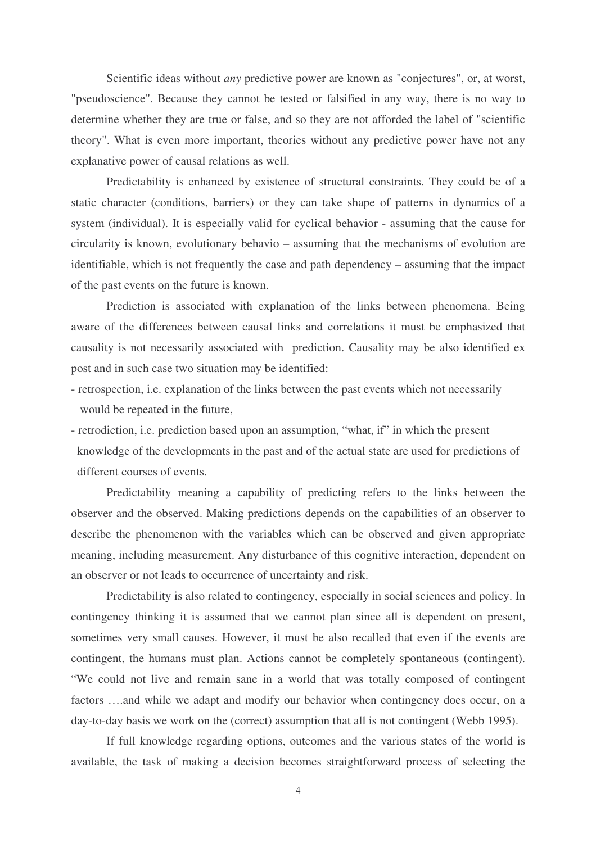Scientific ideas without *any* predictive power are known as "conjectures", or, at worst, "pseudoscience". Because they cannot be tested or falsified in any way, there is no way to determine whether they are true or false, and so they are not afforded the label of "scientific theory". What is even more important, theories without any predictive power have not any explanative power of causal relations as well.

Predictability is enhanced by existence of structural constraints. They could be of a static character (conditions, barriers) or they can take shape of patterns in dynamics of a system (individual). It is especially valid for cyclical behavior - assuming that the cause for circularity is known, evolutionary behavio – assuming that the mechanisms of evolution are identifiable, which is not frequently the case and path dependency – assuming that the impact of the past events on the future is known.

Prediction is associated with explanation of the links between phenomena. Being aware of the differences between causal links and correlations it must be emphasized that causality is not necessarily associated with prediction. Causality may be also identified ex post and in such case two situation may be identified:

- retrospection, i.e. explanation of the links between the past events which not necessarily would be repeated in the future,
- retrodiction, i.e. prediction based upon an assumption, "what, if" in which the present knowledge of the developments in the past and of the actual state are used for predictions of different courses of events.

Predictability meaning a capability of predicting refers to the links between the observer and the observed. Making predictions depends on the capabilities of an observer to describe the phenomenon with the variables which can be observed and given appropriate meaning, including measurement. Any disturbance of this cognitive interaction, dependent on an observer or not leads to occurrence of uncertainty and risk.

Predictability is also related to contingency, especially in social sciences and policy. In contingency thinking it is assumed that we cannot plan since all is dependent on present, sometimes very small causes. However, it must be also recalled that even if the events are contingent, the humans must plan. Actions cannot be completely spontaneous (contingent). "We could not live and remain sane in a world that was totally composed of contingent factors ….and while we adapt and modify our behavior when contingency does occur, on a day-to-day basis we work on the (correct) assumption that all is not contingent (Webb 1995).

If full knowledge regarding options, outcomes and the various states of the world is available, the task of making a decision becomes straightforward process of selecting the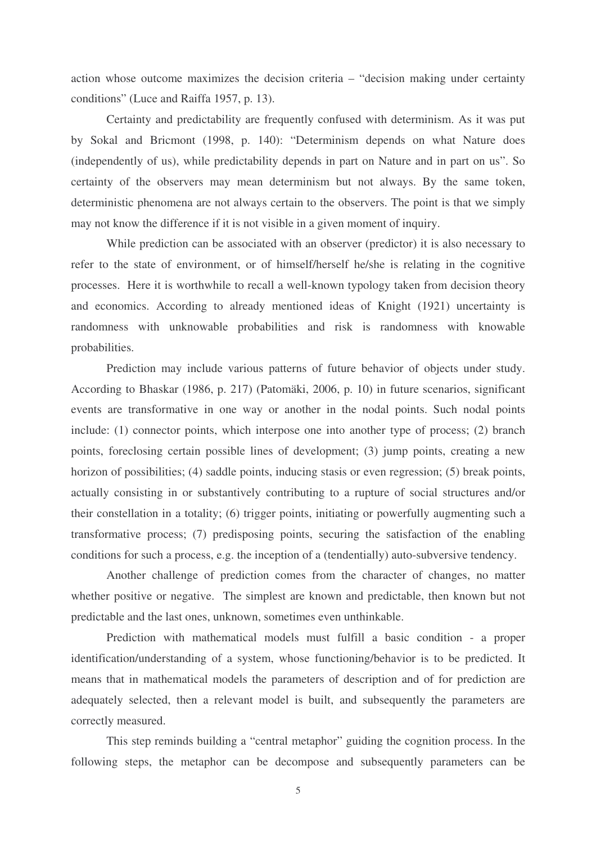action whose outcome maximizes the decision criteria – "decision making under certainty conditions" (Luce and Raiffa 1957, p. 13).

Certainty and predictability are frequently confused with determinism. As it was put by Sokal and Bricmont (1998, p. 140): "Determinism depends on what Nature does (independently of us), while predictability depends in part on Nature and in part on us". So certainty of the observers may mean determinism but not always. By the same token, deterministic phenomena are not always certain to the observers. The point is that we simply may not know the difference if it is not visible in a given moment of inquiry.

While prediction can be associated with an observer (predictor) it is also necessary to refer to the state of environment, or of himself/herself he/she is relating in the cognitive processes. Here it is worthwhile to recall a well-known typology taken from decision theory and economics. According to already mentioned ideas of Knight (1921) uncertainty is randomness with unknowable probabilities and risk is randomness with knowable probabilities.

Prediction may include various patterns of future behavior of objects under study. According to Bhaskar (1986, p. 217) (Patomäki, 2006, p. 10) in future scenarios, significant events are transformative in one way or another in the nodal points. Such nodal points include: (1) connector points, which interpose one into another type of process; (2) branch points, foreclosing certain possible lines of development; (3) jump points, creating a new horizon of possibilities; (4) saddle points, inducing stasis or even regression; (5) break points, actually consisting in or substantively contributing to a rupture of social structures and/or their constellation in a totality; (6) trigger points, initiating or powerfully augmenting such a transformative process; (7) predisposing points, securing the satisfaction of the enabling conditions for such a process, e.g. the inception of a (tendentially) auto-subversive tendency.

Another challenge of prediction comes from the character of changes, no matter whether positive or negative. The simplest are known and predictable, then known but not predictable and the last ones, unknown, sometimes even unthinkable.

Prediction with mathematical models must fulfill a basic condition - a proper identification/understanding of a system, whose functioning/behavior is to be predicted. It means that in mathematical models the parameters of description and of for prediction are adequately selected, then a relevant model is built, and subsequently the parameters are correctly measured.

This step reminds building a "central metaphor" guiding the cognition process. In the following steps, the metaphor can be decompose and subsequently parameters can be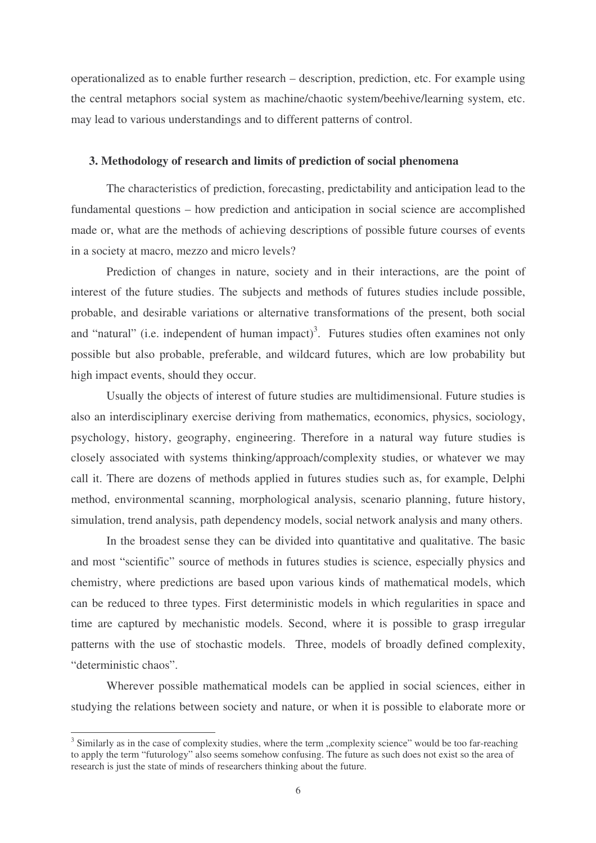operationalized as to enable further research – description, prediction, etc. For example using the central metaphors social system as machine/chaotic system/beehive/learning system, etc. may lead to various understandings and to different patterns of control.

### **3. Methodology of research and limits of prediction of social phenomena**

The characteristics of prediction, forecasting, predictability and anticipation lead to the fundamental questions – how prediction and anticipation in social science are accomplished made or, what are the methods of achieving descriptions of possible future courses of events in a society at macro, mezzo and micro levels?

Prediction of changes in nature, society and in their interactions, are the point of interest of the future studies. The subjects and methods of futures studies include possible, probable, and desirable variations or alternative transformations of the present, both social and "natural" (i.e. independent of human impact)<sup>3</sup>. Futures studies often examines not only possible but also probable, preferable, and wildcard futures, which are low probability but high impact events, should they occur.

Usually the objects of interest of future studies are multidimensional. Future studies is also an interdisciplinary exercise deriving from mathematics, economics, physics, sociology, psychology, history, geography, engineering. Therefore in a natural way future studies is closely associated with systems thinking/approach/complexity studies, or whatever we may call it. There are dozens of methods applied in futures studies such as, for example, Delphi method, environmental scanning, morphological analysis, scenario planning, future history, simulation, trend analysis, path dependency models, social network analysis and many others.

In the broadest sense they can be divided into quantitative and qualitative. The basic and most "scientific" source of methods in futures studies is science, especially physics and chemistry, where predictions are based upon various kinds of mathematical models, which can be reduced to three types. First deterministic models in which regularities in space and time are captured by mechanistic models. Second, where it is possible to grasp irregular patterns with the use of stochastic models. Three, models of broadly defined complexity, "deterministic chaos".

Wherever possible mathematical models can be applied in social sciences, either in studying the relations between society and nature, or when it is possible to elaborate more or

 $3$  Similarly as in the case of complexity studies, where the term "complexity science" would be too far-reaching to apply the term "futurology" also seems somehow confusing. The future as such does not exist so the area of research is just the state of minds of researchers thinking about the future.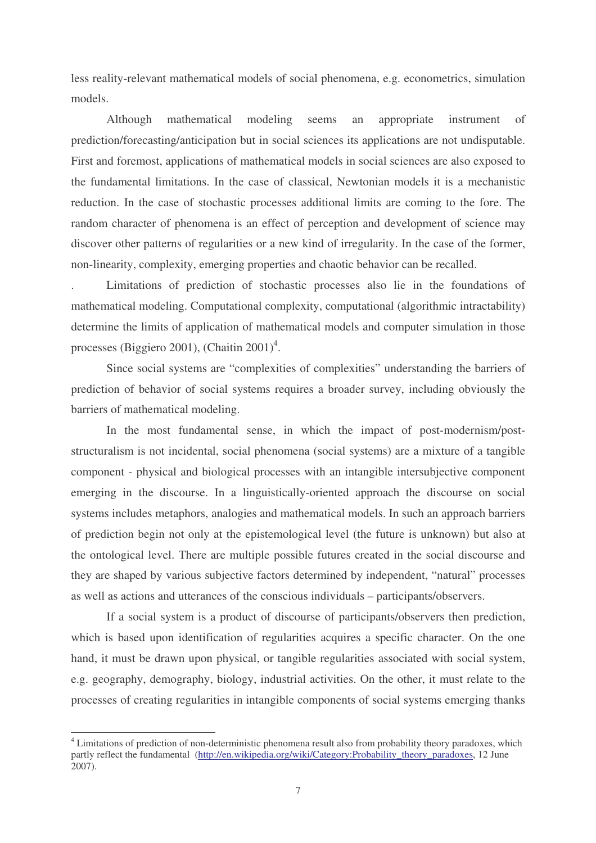less reality-relevant mathematical models of social phenomena, e.g. econometrics, simulation models.

Although mathematical modeling seems an appropriate instrument of prediction/forecasting/anticipation but in social sciences its applications are not undisputable. First and foremost, applications of mathematical models in social sciences are also exposed to the fundamental limitations. In the case of classical, Newtonian models it is a mechanistic reduction. In the case of stochastic processes additional limits are coming to the fore. The random character of phenomena is an effect of perception and development of science may discover other patterns of regularities or a new kind of irregularity. In the case of the former, non-linearity, complexity, emerging properties and chaotic behavior can be recalled.

. Limitations of prediction of stochastic processes also lie in the foundations of mathematical modeling. Computational complexity, computational (algorithmic intractability) determine the limits of application of mathematical models and computer simulation in those processes (Biggiero 2001), (Chaitin 2001)<sup>4</sup>.

Since social systems are "complexities of complexities" understanding the barriers of prediction of behavior of social systems requires a broader survey, including obviously the barriers of mathematical modeling.

In the most fundamental sense, in which the impact of post-modernism/poststructuralism is not incidental, social phenomena (social systems) are a mixture of a tangible component - physical and biological processes with an intangible intersubjective component emerging in the discourse. In a linguistically-oriented approach the discourse on social systems includes metaphors, analogies and mathematical models. In such an approach barriers of prediction begin not only at the epistemological level (the future is unknown) but also at the ontological level. There are multiple possible futures created in the social discourse and they are shaped by various subjective factors determined by independent, "natural" processes as well as actions and utterances of the conscious individuals – participants/observers.

If a social system is a product of discourse of participants/observers then prediction, which is based upon identification of regularities acquires a specific character. On the one hand, it must be drawn upon physical, or tangible regularities associated with social system, e.g. geography, demography, biology, industrial activities. On the other, it must relate to the processes of creating regularities in intangible components of social systems emerging thanks

<sup>&</sup>lt;sup>4</sup> Limitations of prediction of non-deterministic phenomena result also from probability theory paradoxes, which partly reflect the fundamental (http://en.wikipedia.org/wiki/Category:Probability\_theory\_paradoxes, 12 June 2007).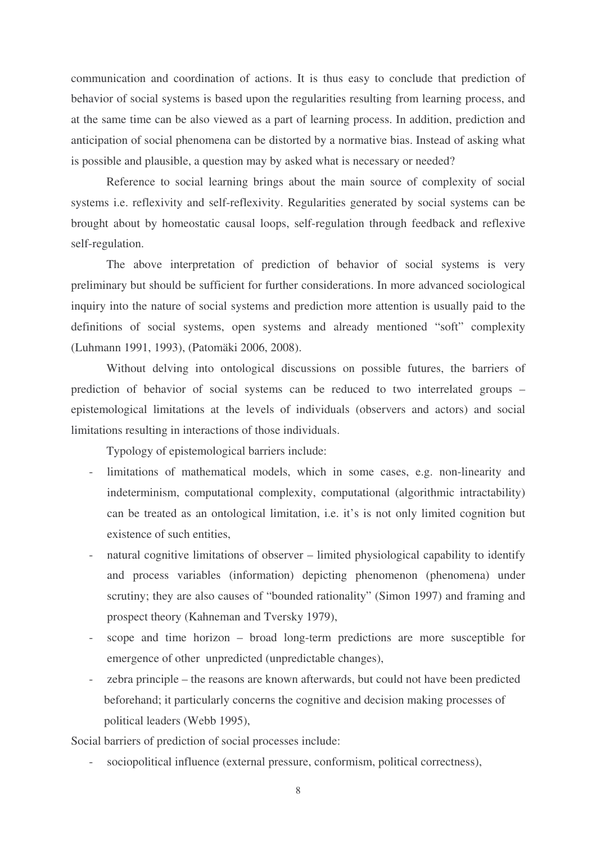communication and coordination of actions. It is thus easy to conclude that prediction of behavior of social systems is based upon the regularities resulting from learning process, and at the same time can be also viewed as a part of learning process. In addition, prediction and anticipation of social phenomena can be distorted by a normative bias. Instead of asking what is possible and plausible, a question may by asked what is necessary or needed?

Reference to social learning brings about the main source of complexity of social systems i.e. reflexivity and self-reflexivity. Regularities generated by social systems can be brought about by homeostatic causal loops, self-regulation through feedback and reflexive self-regulation.

The above interpretation of prediction of behavior of social systems is very preliminary but should be sufficient for further considerations. In more advanced sociological inquiry into the nature of social systems and prediction more attention is usually paid to the definitions of social systems, open systems and already mentioned "soft" complexity (Luhmann 1991, 1993), (Patomäki 2006, 2008).

Without delving into ontological discussions on possible futures, the barriers of prediction of behavior of social systems can be reduced to two interrelated groups – epistemological limitations at the levels of individuals (observers and actors) and social limitations resulting in interactions of those individuals.

Typology of epistemological barriers include:

- limitations of mathematical models, which in some cases, e.g. non-linearity and indeterminism, computational complexity, computational (algorithmic intractability) can be treated as an ontological limitation, i.e. it's is not only limited cognition but existence of such entities,
- natural cognitive limitations of observer limited physiological capability to identify and process variables (information) depicting phenomenon (phenomena) under scrutiny; they are also causes of "bounded rationality" (Simon 1997) and framing and prospect theory (Kahneman and Tversky 1979),
- scope and time horizon broad long-term predictions are more susceptible for emergence of other unpredicted (unpredictable changes),
- zebra principle the reasons are known afterwards, but could not have been predicted beforehand; it particularly concerns the cognitive and decision making processes of political leaders (Webb 1995),

Social barriers of prediction of social processes include:

sociopolitical influence (external pressure, conformism, political correctness),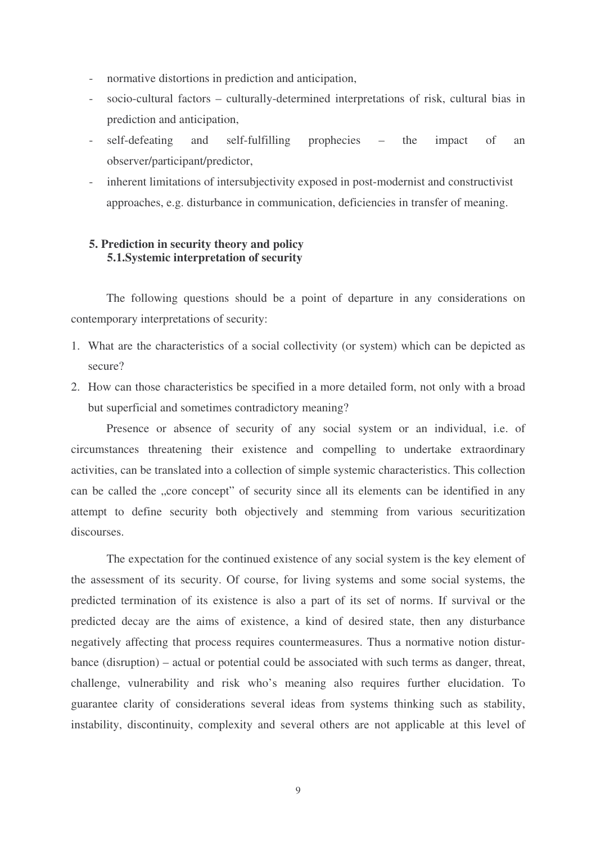- normative distortions in prediction and anticipation,
- socio-cultural factors culturally-determined interpretations of risk, cultural bias in prediction and anticipation,
- self-defeating and self-fulfilling prophecies the impact of an observer/participant/predictor,
- inherent limitations of intersubjectivity exposed in post-modernist and constructivist approaches, e.g. disturbance in communication, deficiencies in transfer of meaning.

# **5. Prediction in security theory and policy 5.1.Systemic interpretation of security**

The following questions should be a point of departure in any considerations on contemporary interpretations of security:

- 1. What are the characteristics of a social collectivity (or system) which can be depicted as secure?
- 2. How can those characteristics be specified in a more detailed form, not only with a broad but superficial and sometimes contradictory meaning?

Presence or absence of security of any social system or an individual, i.e. of circumstances threatening their existence and compelling to undertake extraordinary activities, can be translated into a collection of simple systemic characteristics. This collection can be called the "core concept" of security since all its elements can be identified in any attempt to define security both objectively and stemming from various securitization discourses.

The expectation for the continued existence of any social system is the key element of the assessment of its security. Of course, for living systems and some social systems, the predicted termination of its existence is also a part of its set of norms. If survival or the predicted decay are the aims of existence, a kind of desired state, then any disturbance negatively affecting that process requires countermeasures. Thus a normative notion disturbance (disruption) – actual or potential could be associated with such terms as danger, threat, challenge, vulnerability and risk who's meaning also requires further elucidation. To guarantee clarity of considerations several ideas from systems thinking such as stability, instability, discontinuity, complexity and several others are not applicable at this level of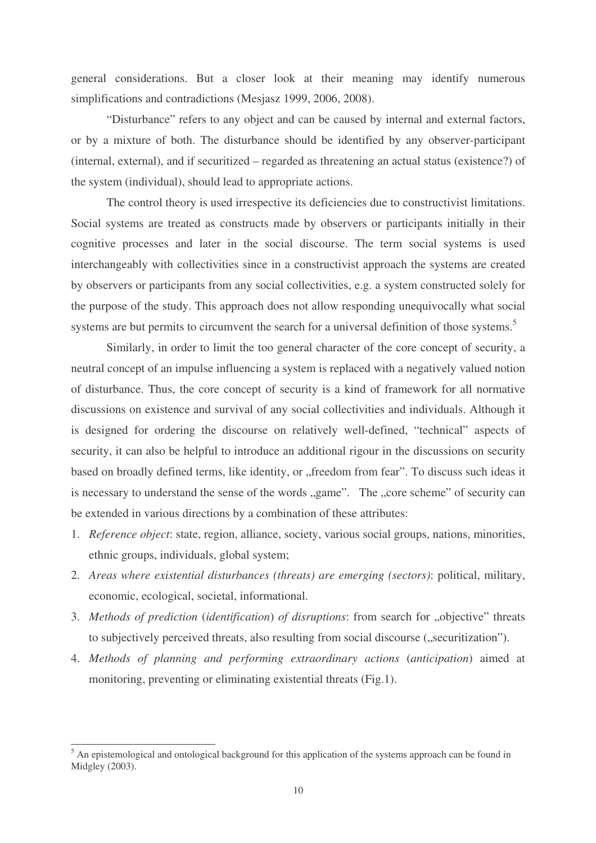general considerations. But a closer look at their meaning may identify numerous simplifications and contradictions (Mesjasz 1999, 2006, 2008).

"Disturbance" refers to any object and can be caused by internal and external factors, or by a mixture of both. The disturbance should be identified by any observer-participant (internal, external), and if securitized – regarded as threatening an actual status (existence?) of the system (individual), should lead to appropriate actions.

The control theory is used irrespective its deficiencies due to constructivist limitations. Social systems are treated as constructs made by observers or participants initially in their cognitive processes and later in the social discourse. The term social systems is used interchangeably with collectivities since in a constructivist approach the systems are created by observers or participants from any social collectivities, e.g. a system constructed solely for the purpose of the study. This approach does not allow responding unequivocally what social systems are but permits to circumvent the search for a universal definition of those systems.<sup>5</sup>

Similarly, in order to limit the too general character of the core concept of security, a neutral concept of an impulse influencing a system is replaced with a negatively valued notion of disturbance. Thus, the core concept of security is a kind of framework for all normative discussions on existence and survival of any social collectivities and individuals. Although it is designed for ordering the discourse on relatively well-defined, "technical" aspects of security, it can also be helpful to introduce an additional rigour in the discussions on security based on broadly defined terms, like identity, or "freedom from fear". To discuss such ideas it is necessary to understand the sense of the words "game". The "core scheme" of security can be extended in various directions by a combination of these attributes:

- 1. *Reference object*: state, region, alliance, society, various social groups, nations, minorities, ethnic groups, individuals, global system;
- 2. *Areas where existential disturbances (threats) are emerging (sectors)*: political, military, economic, ecological, societal, informational.
- 3. *Methods of prediction (identification) of disruptions: from search for "objective" threats* to subjectively perceived threats, also resulting from social discourse ("securitization").
- 4. *Methods of planning and performing extraordinary actions* (*anticipation*) aimed at monitoring, preventing or eliminating existential threats (Fig.1).

 $<sup>5</sup>$  An epistemological and ontological background for this application of the systems approach can be found in</sup> Midgley (2003).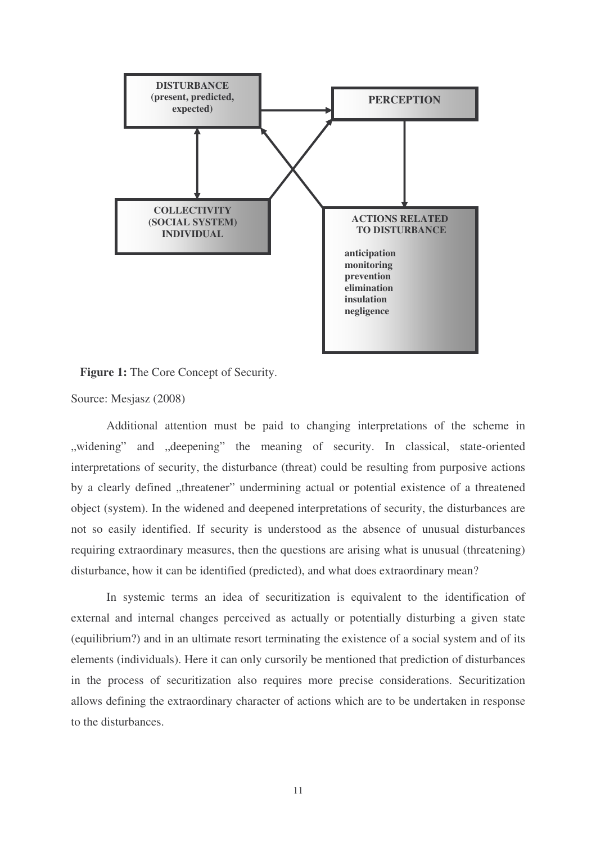

**Figure 1:** The Core Concept of Security.

Source: Mesjasz (2008)

Additional attention must be paid to changing interpretations of the scheme in "widening" and "deepening" the meaning of security. In classical, state-oriented interpretations of security, the disturbance (threat) could be resulting from purposive actions by a clearly defined "threatener" undermining actual or potential existence of a threatened object (system). In the widened and deepened interpretations of security, the disturbances are not so easily identified. If security is understood as the absence of unusual disturbances requiring extraordinary measures, then the questions are arising what is unusual (threatening) disturbance, how it can be identified (predicted), and what does extraordinary mean?

In systemic terms an idea of securitization is equivalent to the identification of external and internal changes perceived as actually or potentially disturbing a given state (equilibrium?) and in an ultimate resort terminating the existence of a social system and of its elements (individuals). Here it can only cursorily be mentioned that prediction of disturbances in the process of securitization also requires more precise considerations. Securitization allows defining the extraordinary character of actions which are to be undertaken in response to the disturbances.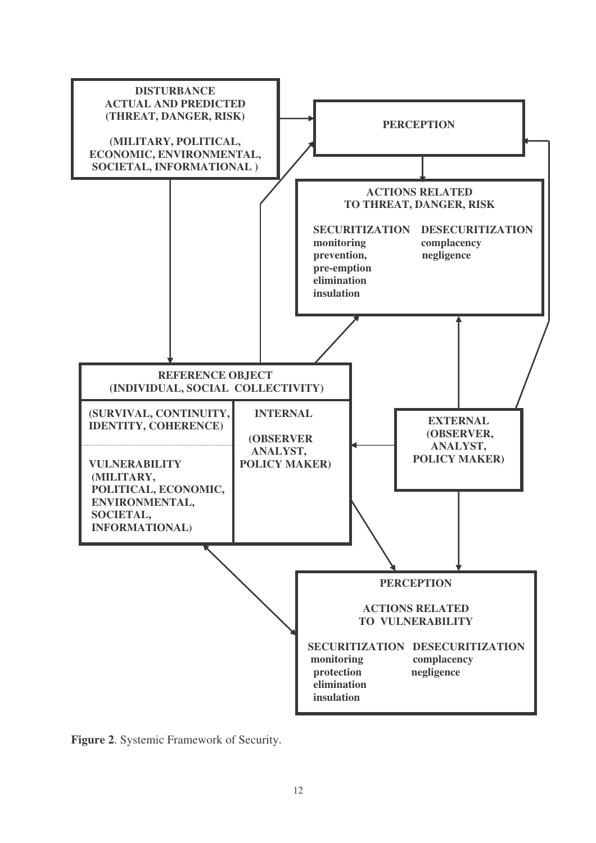

**Figure 2**. Systemic Framework of Security.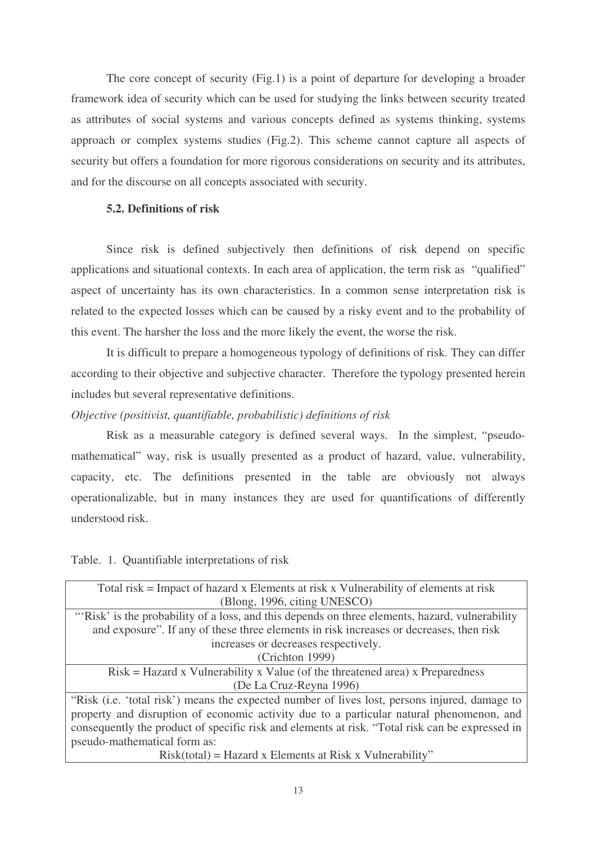The core concept of security (Fig.1) is a point of departure for developing a broader framework idea of security which can be used for studying the links between security treated as attributes of social systems and various concepts defined as systems thinking, systems approach or complex systems studies (Fig.2). This scheme cannot capture all aspects of security but offers a foundation for more rigorous considerations on security and its attributes, and for the discourse on all concepts associated with security.

## **5.2. Definitions of risk**

Since risk is defined subjectively then definitions of risk depend on specific applications and situational contexts. In each area of application, the term risk as "qualified" aspect of uncertainty has its own characteristics. In a common sense interpretation risk is related to the expected losses which can be caused by a risky event and to the probability of this event. The harsher the loss and the more likely the event, the worse the risk.

It is difficult to prepare a homogeneous typology of definitions of risk. They can differ according to their objective and subjective character. Therefore the typology presented herein includes but several representative definitions.

## *Objective (positivist, quantifiable, probabilistic) definitions of risk*

Risk as a measurable category is defined several ways. In the simplest, "pseudomathematical" way, risk is usually presented as a product of hazard, value, vulnerability, capacity, etc. The definitions presented in the table are obviously not always operationalizable, but in many instances they are used for quantifications of differently understood risk.

Table. 1. Quantifiable interpretations of risk

| Total risk = Impact of hazard x Elements at risk x Vulnerability of elements at risk            |
|-------------------------------------------------------------------------------------------------|
| (Blong, 1996, citing UNESCO)                                                                    |
| "Risk' is the probability of a loss, and this depends on three elements, hazard, vulnerability  |
| and exposure". If any of these three elements in risk increases or decreases, then risk         |
| increases or decreases respectively.                                                            |
| (Crichton 1999)                                                                                 |
| $Risk = Hazard \times Valnerability \times Value$ (of the threatened area) x Preparedness       |
| (De La Cruz-Reyna 1996)                                                                         |
| "Risk (i.e. 'total risk') means the expected number of lives lost, persons injured, damage to   |
| property and disruption of economic activity due to a particular natural phenomenon, and        |
| consequently the product of specific risk and elements at risk. "Total risk can be expressed in |
| pseudo-mathematical form as:                                                                    |
| $Risk(total) = Hazard \times Elements$ at Risk x Vulnerability"                                 |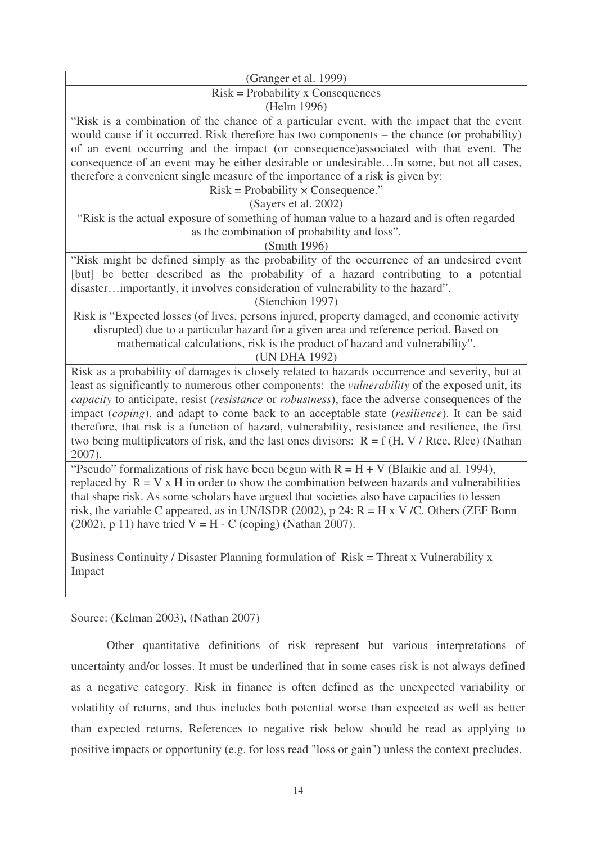| (Granger et al. 1999)                                                                                                                                                                                                                                                                                                                                                                                                                                                                                                                                                                                                                 |
|---------------------------------------------------------------------------------------------------------------------------------------------------------------------------------------------------------------------------------------------------------------------------------------------------------------------------------------------------------------------------------------------------------------------------------------------------------------------------------------------------------------------------------------------------------------------------------------------------------------------------------------|
| $Risk = Probability \times Consequences$                                                                                                                                                                                                                                                                                                                                                                                                                                                                                                                                                                                              |
| (Helm 1996)                                                                                                                                                                                                                                                                                                                                                                                                                                                                                                                                                                                                                           |
| "Risk is a combination of the chance of a particular event, with the impact that the event<br>would cause if it occurred. Risk therefore has two components – the chance (or probability)<br>of an event occurring and the impact (or consequence) associated with that event. The<br>consequence of an event may be either desirable or undesirableIn some, but not all cases,<br>therefore a convenient single measure of the importance of a risk is given by:<br>$Risk = Probability \times Consequence.$ "<br>(Sayers et al. 2002)<br>"Risk is the actual exposure of something of human value to a hazard and is often regarded |
| as the combination of probability and loss".                                                                                                                                                                                                                                                                                                                                                                                                                                                                                                                                                                                          |
| (Smith 1996)                                                                                                                                                                                                                                                                                                                                                                                                                                                                                                                                                                                                                          |
| "Risk might be defined simply as the probability of the occurrence of an undesired event<br>[but] be better described as the probability of a hazard contributing to a potential<br>disasterimportantly, it involves consideration of vulnerability to the hazard".<br>(Stenchion 1997)                                                                                                                                                                                                                                                                                                                                               |
| Risk is "Expected losses (of lives, persons injured, property damaged, and economic activity<br>disrupted) due to a particular hazard for a given area and reference period. Based on<br>mathematical calculations, risk is the product of hazard and vulnerability".<br>(UN DHA 1992)                                                                                                                                                                                                                                                                                                                                                |
| Risk as a probability of damages is closely related to hazards occurrence and severity, but at<br>least as significantly to numerous other components: the <i>vulnerability</i> of the exposed unit, its<br>capacity to anticipate, resist (resistance or robustness), face the adverse consequences of the<br>impact (coping), and adapt to come back to an acceptable state (resilience). It can be said<br>therefore, that risk is a function of hazard, vulnerability, resistance and resilience, the first<br>two being multiplicators of risk, and the last ones divisors: $R = f(H, V / R$ tce, Rlce) (Nathan<br>2007).        |
| "Pseudo" formalizations of risk have been begun with $R = H + V$ (Blaikie and al. 1994),<br>replaced by $R = V x H$ in order to show the combination between hazards and vulnerabilities<br>that shape risk. As some scholars have argued that societies also have capacities to lessen<br>risk, the variable C appeared, as in UN/ISDR (2002), p 24: $R = H \times V/C$ . Others (ZEF Bonn<br>(2002), p 11) have tried $V = H - C$ (coping) (Nathan 2007).                                                                                                                                                                           |
| Business Continuity / Disaster Planning formulation of Risk = Threat x Vulnerability x<br>Impact                                                                                                                                                                                                                                                                                                                                                                                                                                                                                                                                      |

Source: (Kelman 2003), (Nathan 2007)

Other quantitative definitions of risk represent but various interpretations of uncertainty and/or losses. It must be underlined that in some cases risk is not always defined as a negative category. Risk in finance is often defined as the unexpected variability or volatility of returns, and thus includes both potential worse than expected as well as better than expected returns. References to negative risk below should be read as applying to positive impacts or opportunity (e.g. for loss read "loss or gain") unless the context precludes.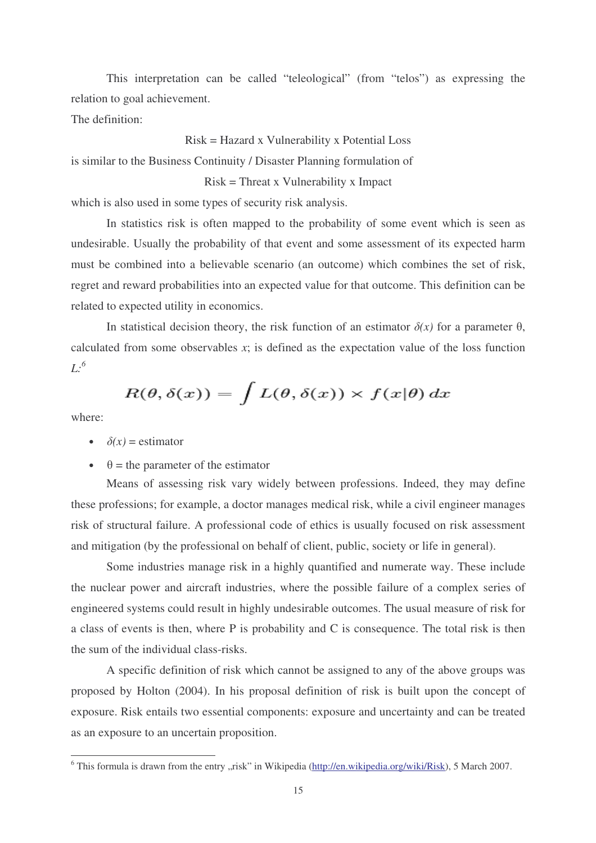This interpretation can be called "teleological" (from "telos") as expressing the relation to goal achievement.

The definition:

Risk = Hazard x Vulnerability x Potential Loss is similar to the Business Continuity / Disaster Planning formulation of Risk = Threat x Vulnerability x Impact

which is also used in some types of security risk analysis.

In statistics risk is often mapped to the probability of some event which is seen as undesirable. Usually the probability of that event and some assessment of its expected harm must be combined into a believable scenario (an outcome) which combines the set of risk, regret and reward probabilities into an expected value for that outcome. This definition can be related to expected utility in economics.

In statistical decision theory, the risk function of an estimator  $\delta(x)$  for a parameter  $\theta$ , calculated from some observables *x*; is defined as the expectation value of the loss function *L: 6*

$$
R(\theta, \delta(x)) = \int L(\theta, \delta(x)) \times f(x|\theta) dx
$$

where:

- $\delta(x)$  = estimator
- $\cdot$   $\theta$  = the parameter of the estimator

Means of assessing risk vary widely between professions. Indeed, they may define these professions; for example, a doctor manages medical risk, while a civil engineer manages risk of structural failure. A professional code of ethics is usually focused on risk assessment and mitigation (by the professional on behalf of client, public, society or life in general).

Some industries manage risk in a highly quantified and numerate way. These include the nuclear power and aircraft industries, where the possible failure of a complex series of engineered systems could result in highly undesirable outcomes. The usual measure of risk for a class of events is then, where P is probability and C is consequence. The total risk is then the sum of the individual class-risks.

A specific definition of risk which cannot be assigned to any of the above groups was proposed by Holton (2004). In his proposal definition of risk is built upon the concept of exposure. Risk entails two essential components: exposure and uncertainty and can be treated as an exposure to an uncertain proposition.

 $6$  This formula is drawn from the entry "risk" in Wikipedia (http://en.wikipedia.org/wiki/Risk), 5 March 2007.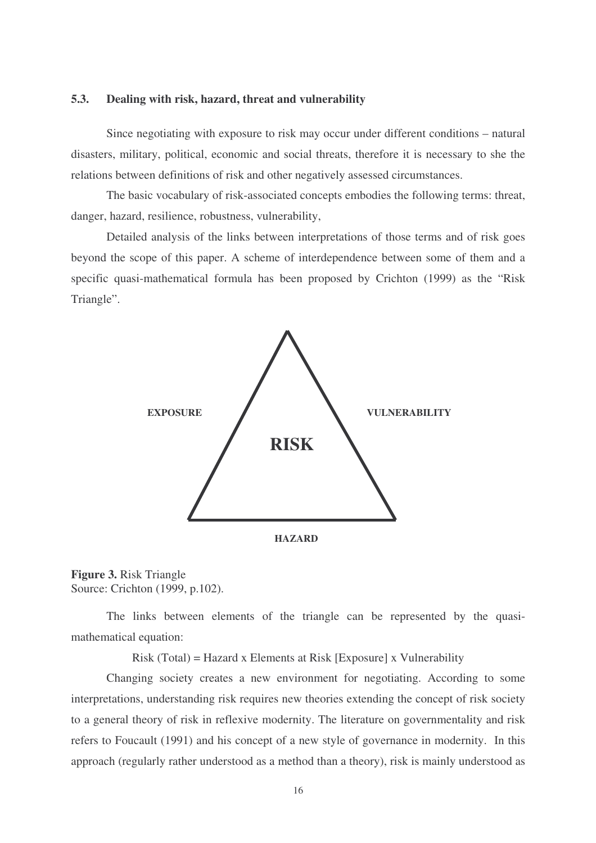### **5.3. Dealing with risk, hazard, threat and vulnerability**

Since negotiating with exposure to risk may occur under different conditions – natural disasters, military, political, economic and social threats, therefore it is necessary to she the relations between definitions of risk and other negatively assessed circumstances.

The basic vocabulary of risk-associated concepts embodies the following terms: threat, danger, hazard, resilience, robustness, vulnerability,

Detailed analysis of the links between interpretations of those terms and of risk goes beyond the scope of this paper. A scheme of interdependence between some of them and a specific quasi-mathematical formula has been proposed by Crichton (1999) as the "Risk Triangle".





The links between elements of the triangle can be represented by the quasimathematical equation:

Risk (Total) = Hazard x Elements at Risk [Exposure] x Vulnerability

Changing society creates a new environment for negotiating. According to some interpretations, understanding risk requires new theories extending the concept of risk society to a general theory of risk in reflexive modernity. The literature on governmentality and risk refers to Foucault (1991) and his concept of a new style of governance in modernity. In this approach (regularly rather understood as a method than a theory), risk is mainly understood as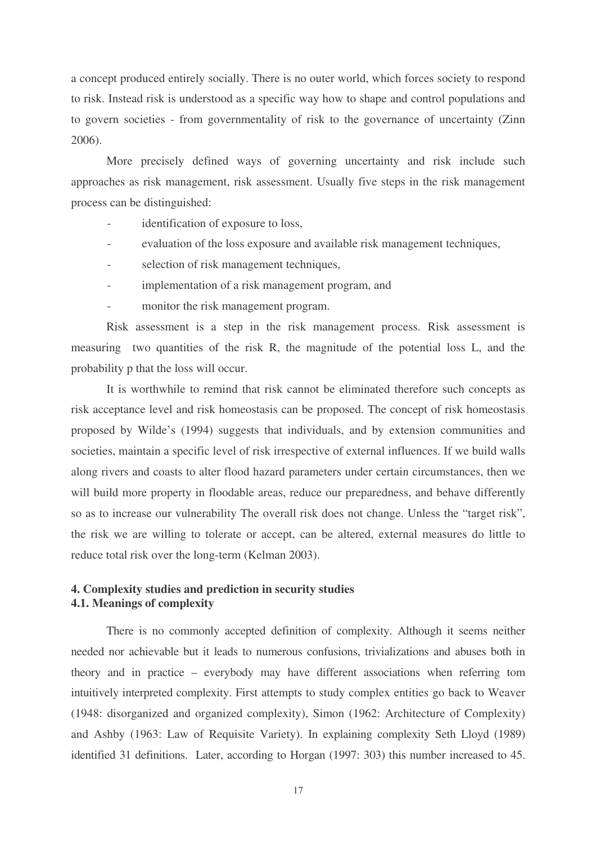a concept produced entirely socially. There is no outer world, which forces society to respond to risk. Instead risk is understood as a specific way how to shape and control populations and to govern societies - from governmentality of risk to the governance of uncertainty (Zinn 2006).

More precisely defined ways of governing uncertainty and risk include such approaches as risk management, risk assessment. Usually five steps in the risk management process can be distinguished:

- identification of exposure to loss,
- evaluation of the loss exposure and available risk management techniques,
- selection of risk management techniques,
- implementation of a risk management program, and
- monitor the risk management program.

Risk assessment is a step in the risk management process. Risk assessment is measuring two quantities of the risk R, the magnitude of the potential loss L, and the probability p that the loss will occur.

It is worthwhile to remind that risk cannot be eliminated therefore such concepts as risk acceptance level and risk homeostasis can be proposed. The concept of risk homeostasis proposed by Wilde's (1994) suggests that individuals, and by extension communities and societies, maintain a specific level of risk irrespective of external influences. If we build walls along rivers and coasts to alter flood hazard parameters under certain circumstances, then we will build more property in floodable areas, reduce our preparedness, and behave differently so as to increase our vulnerability The overall risk does not change. Unless the "target risk", the risk we are willing to tolerate or accept, can be altered, external measures do little to reduce total risk over the long-term (Kelman 2003).

# **4. Complexity studies and prediction in security studies 4.1. Meanings of complexity**

There is no commonly accepted definition of complexity. Although it seems neither needed nor achievable but it leads to numerous confusions, trivializations and abuses both in theory and in practice – everybody may have different associations when referring tom intuitively interpreted complexity. First attempts to study complex entities go back to Weaver (1948: disorganized and organized complexity), Simon (1962: Architecture of Complexity) and Ashby (1963: Law of Requisite Variety). In explaining complexity Seth Lloyd (1989) identified 31 definitions. Later, according to Horgan (1997: 303) this number increased to 45.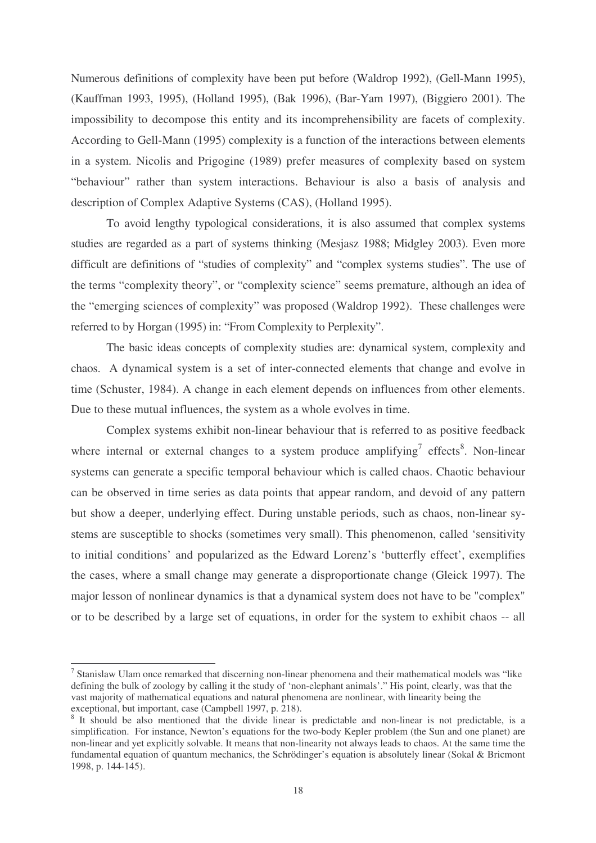Numerous definitions of complexity have been put before (Waldrop 1992), (Gell-Mann 1995), (Kauffman 1993, 1995), (Holland 1995), (Bak 1996), (Bar-Yam 1997), (Biggiero 2001). The impossibility to decompose this entity and its incomprehensibility are facets of complexity. According to Gell-Mann (1995) complexity is a function of the interactions between elements in a system. Nicolis and Prigogine (1989) prefer measures of complexity based on system "behaviour" rather than system interactions. Behaviour is also a basis of analysis and description of Complex Adaptive Systems (CAS), (Holland 1995).

To avoid lengthy typological considerations, it is also assumed that complex systems studies are regarded as a part of systems thinking (Mesjasz 1988; Midgley 2003). Even more difficult are definitions of "studies of complexity" and "complex systems studies". The use of the terms "complexity theory", or "complexity science" seems premature, although an idea of the "emerging sciences of complexity" was proposed (Waldrop 1992). These challenges were referred to by Horgan (1995) in: "From Complexity to Perplexity".

The basic ideas concepts of complexity studies are: dynamical system, complexity and chaos. A dynamical system is a set of inter-connected elements that change and evolve in time (Schuster, 1984). A change in each element depends on influences from other elements. Due to these mutual influences, the system as a whole evolves in time.

Complex systems exhibit non-linear behaviour that is referred to as positive feedback where internal or external changes to a system produce amplifying<sup>7</sup> effects<sup>8</sup>. Non-linear systems can generate a specific temporal behaviour which is called chaos. Chaotic behaviour can be observed in time series as data points that appear random, and devoid of any pattern but show a deeper, underlying effect. During unstable periods, such as chaos, non-linear systems are susceptible to shocks (sometimes very small). This phenomenon, called 'sensitivity to initial conditions' and popularized as the Edward Lorenz's 'butterfly effect', exemplifies the cases, where a small change may generate a disproportionate change (Gleick 1997). The major lesson of nonlinear dynamics is that a dynamical system does not have to be "complex" or to be described by a large set of equations, in order for the system to exhibit chaos -- all

 $<sup>7</sup>$  Stanislaw Ulam once remarked that discerning non-linear phenomena and their mathematical models was "like</sup> defining the bulk of zoology by calling it the study of 'non-elephant animals'." His point, clearly, was that the vast majority of mathematical equations and natural phenomena are nonlinear, with linearity being the exceptional, but important, case (Campbell 1997, p. 218).

<sup>&</sup>lt;sup>8</sup> It should be also mentioned that the divide linear is predictable and non-linear is not predictable, is a simplification. For instance, Newton's equations for the two-body Kepler problem (the Sun and one planet) are non-linear and yet explicitly solvable. It means that non-linearity not always leads to chaos. At the same time the fundamental equation of quantum mechanics, the Schrödinger's equation is absolutely linear (Sokal & Bricmont 1998, p. 144-145).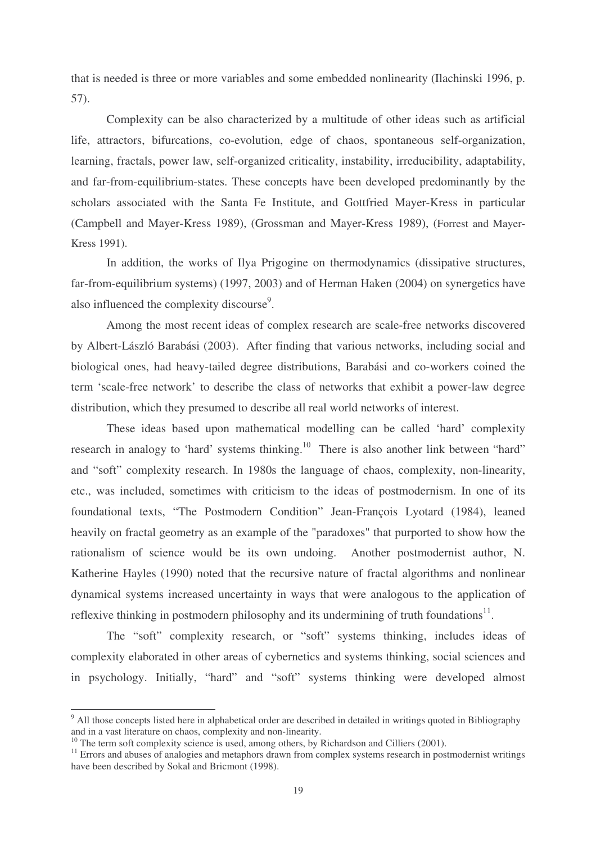that is needed is three or more variables and some embedded nonlinearity (Ilachinski 1996, p. 57).

Complexity can be also characterized by a multitude of other ideas such as artificial life, attractors, bifurcations, co-evolution, edge of chaos, spontaneous self-organization, learning, fractals, power law, self-organized criticality, instability, irreducibility, adaptability, and far-from-equilibrium-states. These concepts have been developed predominantly by the scholars associated with the Santa Fe Institute, and Gottfried Mayer-Kress in particular (Campbell and Mayer-Kress 1989), (Grossman and Mayer-Kress 1989), (Forrest and Mayer-Kress 1991).

In addition, the works of Ilya Prigogine on thermodynamics (dissipative structures, far-from-equilibrium systems) (1997, 2003) and of Herman Haken (2004) on synergetics have also influenced the complexity discourse<sup>9</sup>.

Among the most recent ideas of complex research are scale-free networks discovered by Albert-László Barabási (2003). After finding that various networks, including social and biological ones, had heavy-tailed degree distributions, Barabási and co-workers coined the term 'scale-free network' to describe the class of networks that exhibit a power-law degree distribution, which they presumed to describe all real world networks of interest.

These ideas based upon mathematical modelling can be called 'hard' complexity research in analogy to 'hard' systems thinking.<sup>10</sup> There is also another link between "hard" and "soft" complexity research. In 1980s the language of chaos, complexity, non-linearity, etc., was included, sometimes with criticism to the ideas of postmodernism. In one of its foundational texts, "The Postmodern Condition" Jean-François Lyotard (1984), leaned heavily on fractal geometry as an example of the "paradoxes" that purported to show how the rationalism of science would be its own undoing. Another postmodernist author, N. Katherine Hayles (1990) noted that the recursive nature of fractal algorithms and nonlinear dynamical systems increased uncertainty in ways that were analogous to the application of reflexive thinking in postmodern philosophy and its undermining of truth foundations<sup>11</sup>.

The "soft" complexity research, or "soft" systems thinking, includes ideas of complexity elaborated in other areas of cybernetics and systems thinking, social sciences and in psychology. Initially, "hard" and "soft" systems thinking were developed almost

<sup>&</sup>lt;sup>9</sup> All those concepts listed here in alphabetical order are described in detailed in writings quoted in Bibliography and in a vast literature on chaos, complexity and non-linearity.

<sup>&</sup>lt;sup>10</sup> The term soft complexity science is used, among others, by Richardson and Cilliers (2001).

<sup>&</sup>lt;sup>11</sup> Errors and abuses of analogies and metaphors drawn from complex systems research in postmodernist writings have been described by Sokal and Bricmont (1998).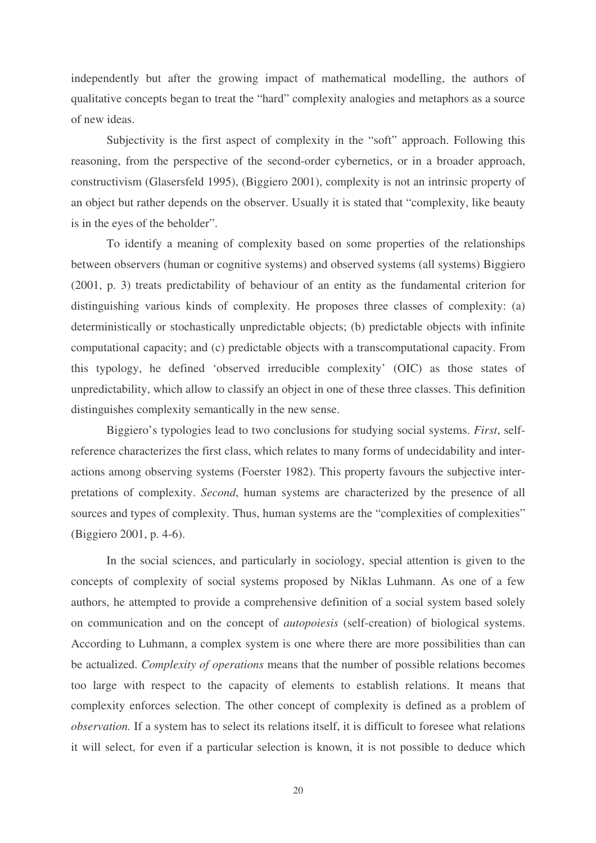independently but after the growing impact of mathematical modelling, the authors of qualitative concepts began to treat the "hard" complexity analogies and metaphors as a source of new ideas.

Subjectivity is the first aspect of complexity in the "soft" approach. Following this reasoning, from the perspective of the second-order cybernetics, or in a broader approach, constructivism (Glasersfeld 1995), (Biggiero 2001), complexity is not an intrinsic property of an object but rather depends on the observer. Usually it is stated that "complexity, like beauty is in the eyes of the beholder".

To identify a meaning of complexity based on some properties of the relationships between observers (human or cognitive systems) and observed systems (all systems) Biggiero (2001, p. 3) treats predictability of behaviour of an entity as the fundamental criterion for distinguishing various kinds of complexity. He proposes three classes of complexity: (a) deterministically or stochastically unpredictable objects; (b) predictable objects with infinite computational capacity; and (c) predictable objects with a transcomputational capacity. From this typology, he defined 'observed irreducible complexity' (OIC) as those states of unpredictability, which allow to classify an object in one of these three classes. This definition distinguishes complexity semantically in the new sense.

Biggiero's typologies lead to two conclusions for studying social systems. *First*, selfreference characterizes the first class, which relates to many forms of undecidability and interactions among observing systems (Foerster 1982). This property favours the subjective interpretations of complexity. *Second*, human systems are characterized by the presence of all sources and types of complexity. Thus, human systems are the "complexities of complexities" (Biggiero 2001, p. 4-6).

In the social sciences, and particularly in sociology, special attention is given to the concepts of complexity of social systems proposed by Niklas Luhmann. As one of a few authors, he attempted to provide a comprehensive definition of a social system based solely on communication and on the concept of *autopoiesis* (self-creation) of biological systems. According to Luhmann, a complex system is one where there are more possibilities than can be actualized. *Complexity of operations* means that the number of possible relations becomes too large with respect to the capacity of elements to establish relations. It means that complexity enforces selection. The other concept of complexity is defined as a problem of *observation.* If a system has to select its relations itself, it is difficult to foresee what relations it will select, for even if a particular selection is known, it is not possible to deduce which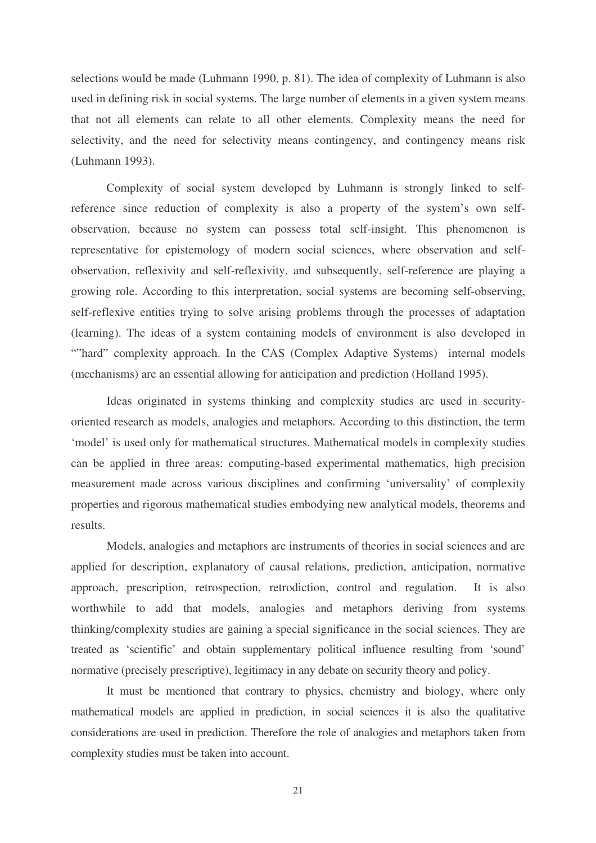selections would be made (Luhmann 1990, p. 81). The idea of complexity of Luhmann is also used in defining risk in social systems. The large number of elements in a given system means that not all elements can relate to all other elements. Complexity means the need for selectivity, and the need for selectivity means contingency, and contingency means risk (Luhmann 1993).

Complexity of social system developed by Luhmann is strongly linked to selfreference since reduction of complexity is also a property of the system's own selfobservation, because no system can possess total self-insight. This phenomenon is representative for epistemology of modern social sciences, where observation and selfobservation, reflexivity and self-reflexivity, and subsequently, self-reference are playing a growing role. According to this interpretation, social systems are becoming self-observing, self-reflexive entities trying to solve arising problems through the processes of adaptation (learning). The ideas of a system containing models of environment is also developed in ""hard" complexity approach. In the CAS (Complex Adaptive Systems) internal models (mechanisms) are an essential allowing for anticipation and prediction (Holland 1995).

Ideas originated in systems thinking and complexity studies are used in securityoriented research as models, analogies and metaphors. According to this distinction, the term 'model' is used only for mathematical structures. Mathematical models in complexity studies can be applied in three areas: computing-based experimental mathematics, high precision measurement made across various disciplines and confirming 'universality' of complexity properties and rigorous mathematical studies embodying new analytical models, theorems and results.

Models, analogies and metaphors are instruments of theories in social sciences and are applied for description, explanatory of causal relations, prediction, anticipation, normative approach, prescription, retrospection, retrodiction, control and regulation. It is also worthwhile to add that models, analogies and metaphors deriving from systems thinking/complexity studies are gaining a special significance in the social sciences. They are treated as 'scientific' and obtain supplementary political influence resulting from 'sound' normative (precisely prescriptive), legitimacy in any debate on security theory and policy.

It must be mentioned that contrary to physics, chemistry and biology, where only mathematical models are applied in prediction, in social sciences it is also the qualitative considerations are used in prediction. Therefore the role of analogies and metaphors taken from complexity studies must be taken into account.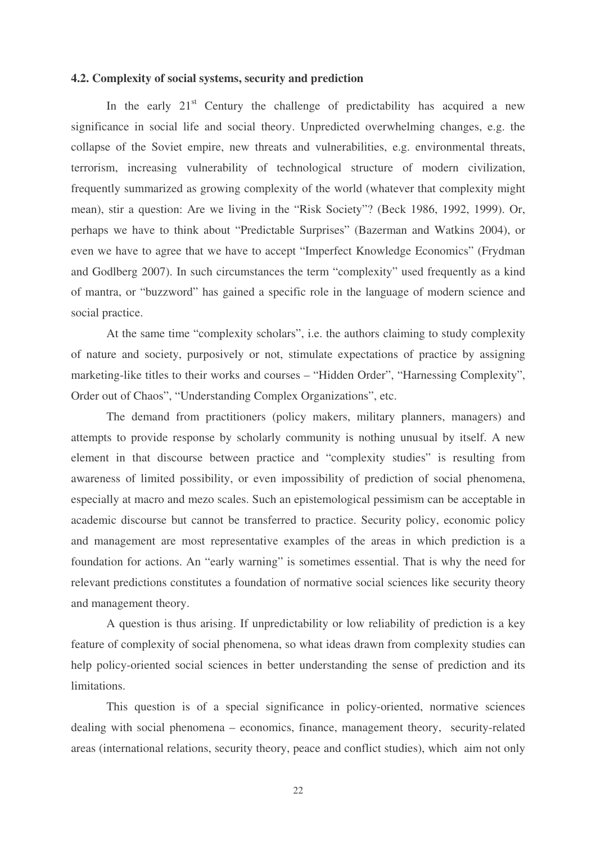### **4.2. Complexity of social systems, security and prediction**

In the early 21<sup>st</sup> Century the challenge of predictability has acquired a new significance in social life and social theory. Unpredicted overwhelming changes, e.g. the collapse of the Soviet empire, new threats and vulnerabilities, e.g. environmental threats, terrorism, increasing vulnerability of technological structure of modern civilization, frequently summarized as growing complexity of the world (whatever that complexity might mean), stir a question: Are we living in the "Risk Society"? (Beck 1986, 1992, 1999). Or, perhaps we have to think about "Predictable Surprises" (Bazerman and Watkins 2004), or even we have to agree that we have to accept "Imperfect Knowledge Economics" (Frydman and Godlberg 2007). In such circumstances the term "complexity" used frequently as a kind of mantra, or "buzzword" has gained a specific role in the language of modern science and social practice.

At the same time "complexity scholars", i.e. the authors claiming to study complexity of nature and society, purposively or not, stimulate expectations of practice by assigning marketing-like titles to their works and courses – "Hidden Order", "Harnessing Complexity", Order out of Chaos", "Understanding Complex Organizations", etc.

The demand from practitioners (policy makers, military planners, managers) and attempts to provide response by scholarly community is nothing unusual by itself. A new element in that discourse between practice and "complexity studies" is resulting from awareness of limited possibility, or even impossibility of prediction of social phenomena, especially at macro and mezo scales. Such an epistemological pessimism can be acceptable in academic discourse but cannot be transferred to practice. Security policy, economic policy and management are most representative examples of the areas in which prediction is a foundation for actions. An "early warning" is sometimes essential. That is why the need for relevant predictions constitutes a foundation of normative social sciences like security theory and management theory.

A question is thus arising. If unpredictability or low reliability of prediction is a key feature of complexity of social phenomena, so what ideas drawn from complexity studies can help policy-oriented social sciences in better understanding the sense of prediction and its limitations.

This question is of a special significance in policy-oriented, normative sciences dealing with social phenomena – economics, finance, management theory, security-related areas (international relations, security theory, peace and conflict studies), which aim not only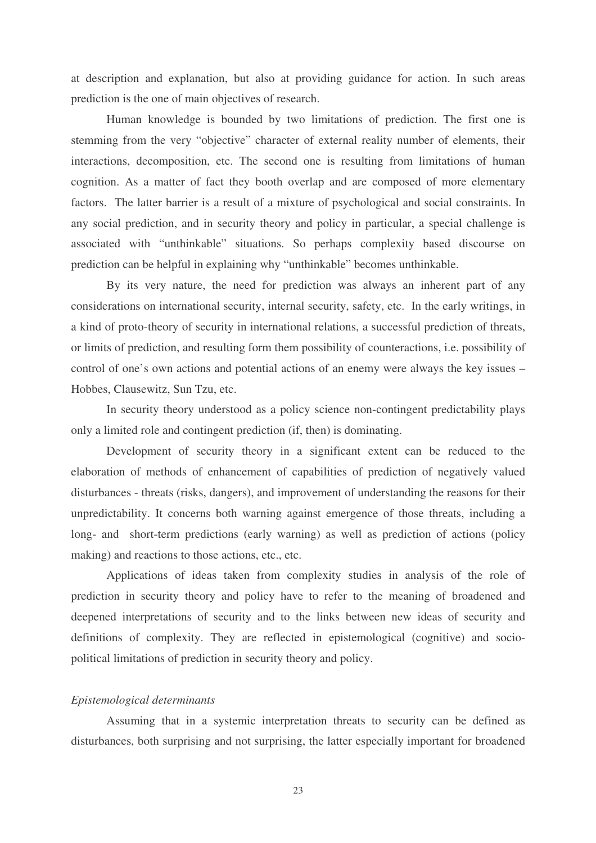at description and explanation, but also at providing guidance for action. In such areas prediction is the one of main objectives of research.

Human knowledge is bounded by two limitations of prediction. The first one is stemming from the very "objective" character of external reality number of elements, their interactions, decomposition, etc. The second one is resulting from limitations of human cognition. As a matter of fact they booth overlap and are composed of more elementary factors. The latter barrier is a result of a mixture of psychological and social constraints. In any social prediction, and in security theory and policy in particular, a special challenge is associated with "unthinkable" situations. So perhaps complexity based discourse on prediction can be helpful in explaining why "unthinkable" becomes unthinkable.

By its very nature, the need for prediction was always an inherent part of any considerations on international security, internal security, safety, etc. In the early writings, in a kind of proto-theory of security in international relations, a successful prediction of threats, or limits of prediction, and resulting form them possibility of counteractions, i.e. possibility of control of one's own actions and potential actions of an enemy were always the key issues – Hobbes, Clausewitz, Sun Tzu, etc.

In security theory understood as a policy science non-contingent predictability plays only a limited role and contingent prediction (if, then) is dominating.

Development of security theory in a significant extent can be reduced to the elaboration of methods of enhancement of capabilities of prediction of negatively valued disturbances - threats (risks, dangers), and improvement of understanding the reasons for their unpredictability. It concerns both warning against emergence of those threats, including a long- and short-term predictions (early warning) as well as prediction of actions (policy making) and reactions to those actions, etc., etc.

Applications of ideas taken from complexity studies in analysis of the role of prediction in security theory and policy have to refer to the meaning of broadened and deepened interpretations of security and to the links between new ideas of security and definitions of complexity. They are reflected in epistemological (cognitive) and sociopolitical limitations of prediction in security theory and policy.

### *Epistemological determinants*

Assuming that in a systemic interpretation threats to security can be defined as disturbances, both surprising and not surprising, the latter especially important for broadened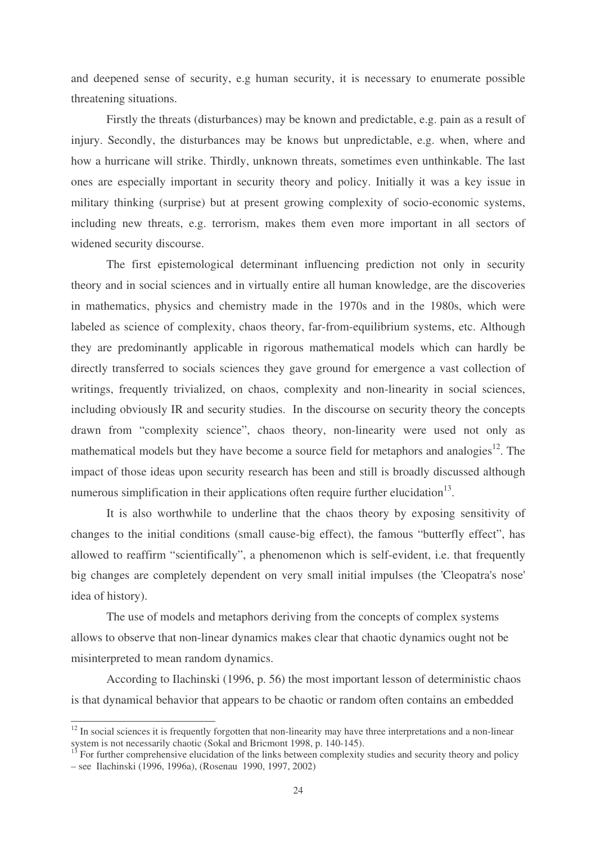and deepened sense of security, e.g human security, it is necessary to enumerate possible threatening situations.

Firstly the threats (disturbances) may be known and predictable, e.g. pain as a result of injury. Secondly, the disturbances may be knows but unpredictable, e.g. when, where and how a hurricane will strike. Thirdly, unknown threats, sometimes even unthinkable. The last ones are especially important in security theory and policy. Initially it was a key issue in military thinking (surprise) but at present growing complexity of socio-economic systems, including new threats, e.g. terrorism, makes them even more important in all sectors of widened security discourse.

The first epistemological determinant influencing prediction not only in security theory and in social sciences and in virtually entire all human knowledge, are the discoveries in mathematics, physics and chemistry made in the 1970s and in the 1980s, which were labeled as science of complexity, chaos theory, far-from-equilibrium systems, etc. Although they are predominantly applicable in rigorous mathematical models which can hardly be directly transferred to socials sciences they gave ground for emergence a vast collection of writings, frequently trivialized, on chaos, complexity and non-linearity in social sciences, including obviously IR and security studies. In the discourse on security theory the concepts drawn from "complexity science", chaos theory, non-linearity were used not only as mathematical models but they have become a source field for metaphors and analogies<sup>12</sup>. The impact of those ideas upon security research has been and still is broadly discussed although numerous simplification in their applications often require further elucidation<sup>13</sup>.

It is also worthwhile to underline that the chaos theory by exposing sensitivity of changes to the initial conditions (small cause-big effect), the famous "butterfly effect", has allowed to reaffirm "scientifically", a phenomenon which is self-evident, i.e. that frequently big changes are completely dependent on very small initial impulses (the 'Cleopatra's nose' idea of history).

The use of models and metaphors deriving from the concepts of complex systems allows to observe that non-linear dynamics makes clear that chaotic dynamics ought not be misinterpreted to mean random dynamics.

According to Ilachinski (1996, p. 56) the most important lesson of deterministic chaos is that dynamical behavior that appears to be chaotic or random often contains an embedded

<sup>&</sup>lt;sup>12</sup> In social sciences it is frequently forgotten that non-linearity may have three interpretations and a non-linear system is not necessarily chaotic (Sokal and Bricmont 1998, p. 140-145).

<sup>13</sup> For further comprehensive elucidation of the links between complexity studies and security theory and policy – see Ilachinski (1996, 1996a), (Rosenau 1990, 1997, 2002)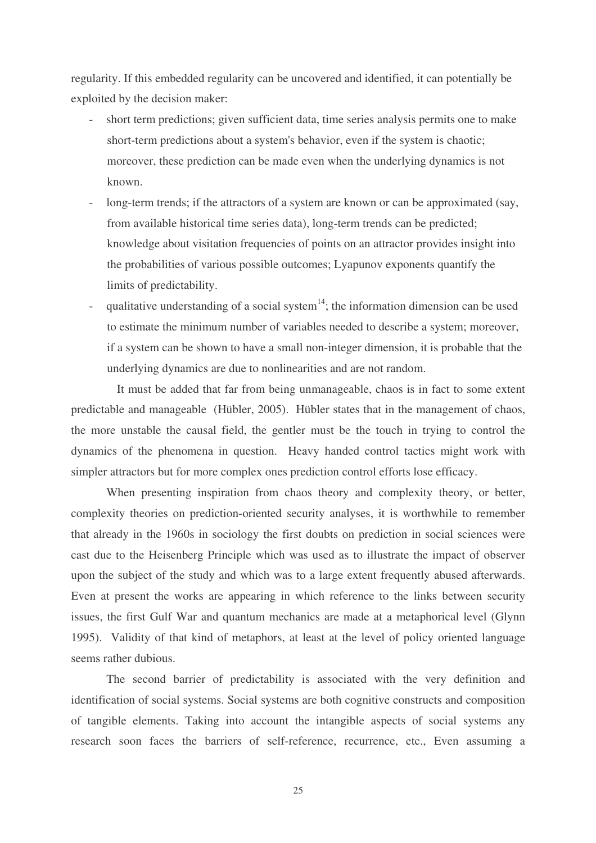regularity. If this embedded regularity can be uncovered and identified, it can potentially be exploited by the decision maker:

- short term predictions; given sufficient data, time series analysis permits one to make short-term predictions about a system's behavior, even if the system is chaotic; moreover, these prediction can be made even when the underlying dynamics is not known.
- long-term trends; if the attractors of a system are known or can be approximated (say, from available historical time series data), long-term trends can be predicted; knowledge about visitation frequencies of points on an attractor provides insight into the probabilities of various possible outcomes; Lyapunov exponents quantify the limits of predictability.
- qualitative understanding of a social system $14$ ; the information dimension can be used to estimate the minimum number of variables needed to describe a system; moreover, if a system can be shown to have a small non-integer dimension, it is probable that the underlying dynamics are due to nonlinearities and are not random.

It must be added that far from being unmanageable, chaos is in fact to some extent predictable and manageable (Hübler, 2005). Hübler states that in the management of chaos, the more unstable the causal field, the gentler must be the touch in trying to control the dynamics of the phenomena in question. Heavy handed control tactics might work with simpler attractors but for more complex ones prediction control efforts lose efficacy.

When presenting inspiration from chaos theory and complexity theory, or better, complexity theories on prediction-oriented security analyses, it is worthwhile to remember that already in the 1960s in sociology the first doubts on prediction in social sciences were cast due to the Heisenberg Principle which was used as to illustrate the impact of observer upon the subject of the study and which was to a large extent frequently abused afterwards. Even at present the works are appearing in which reference to the links between security issues, the first Gulf War and quantum mechanics are made at a metaphorical level (Glynn 1995). Validity of that kind of metaphors, at least at the level of policy oriented language seems rather dubious.

The second barrier of predictability is associated with the very definition and identification of social systems. Social systems are both cognitive constructs and composition of tangible elements. Taking into account the intangible aspects of social systems any research soon faces the barriers of self-reference, recurrence, etc., Even assuming a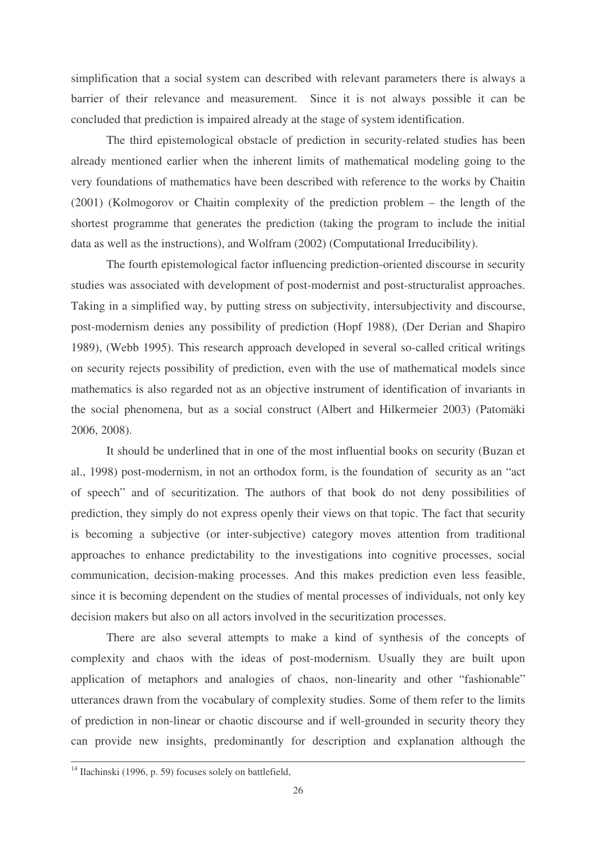simplification that a social system can described with relevant parameters there is always a barrier of their relevance and measurement. Since it is not always possible it can be concluded that prediction is impaired already at the stage of system identification.

The third epistemological obstacle of prediction in security-related studies has been already mentioned earlier when the inherent limits of mathematical modeling going to the very foundations of mathematics have been described with reference to the works by Chaitin (2001) (Kolmogorov or Chaitin complexity of the prediction problem – the length of the shortest programme that generates the prediction (taking the program to include the initial data as well as the instructions), and Wolfram (2002) (Computational Irreducibility).

The fourth epistemological factor influencing prediction-oriented discourse in security studies was associated with development of post-modernist and post-structuralist approaches. Taking in a simplified way, by putting stress on subjectivity, intersubjectivity and discourse, post-modernism denies any possibility of prediction (Hopf 1988), (Der Derian and Shapiro 1989), (Webb 1995). This research approach developed in several so-called critical writings on security rejects possibility of prediction, even with the use of mathematical models since mathematics is also regarded not as an objective instrument of identification of invariants in the social phenomena, but as a social construct (Albert and Hilkermeier 2003) (Patomäki 2006, 2008).

It should be underlined that in one of the most influential books on security (Buzan et al., 1998) post-modernism, in not an orthodox form, is the foundation of security as an "act of speech" and of securitization. The authors of that book do not deny possibilities of prediction, they simply do not express openly their views on that topic. The fact that security is becoming a subjective (or inter-subjective) category moves attention from traditional approaches to enhance predictability to the investigations into cognitive processes, social communication, decision-making processes. And this makes prediction even less feasible, since it is becoming dependent on the studies of mental processes of individuals, not only key decision makers but also on all actors involved in the securitization processes.

There are also several attempts to make a kind of synthesis of the concepts of complexity and chaos with the ideas of post-modernism. Usually they are built upon application of metaphors and analogies of chaos, non-linearity and other "fashionable" utterances drawn from the vocabulary of complexity studies. Some of them refer to the limits of prediction in non-linear or chaotic discourse and if well-grounded in security theory they can provide new insights, predominantly for description and explanation although the

<sup>&</sup>lt;sup>14</sup> Ilachinski (1996, p. 59) focuses solely on battlefield,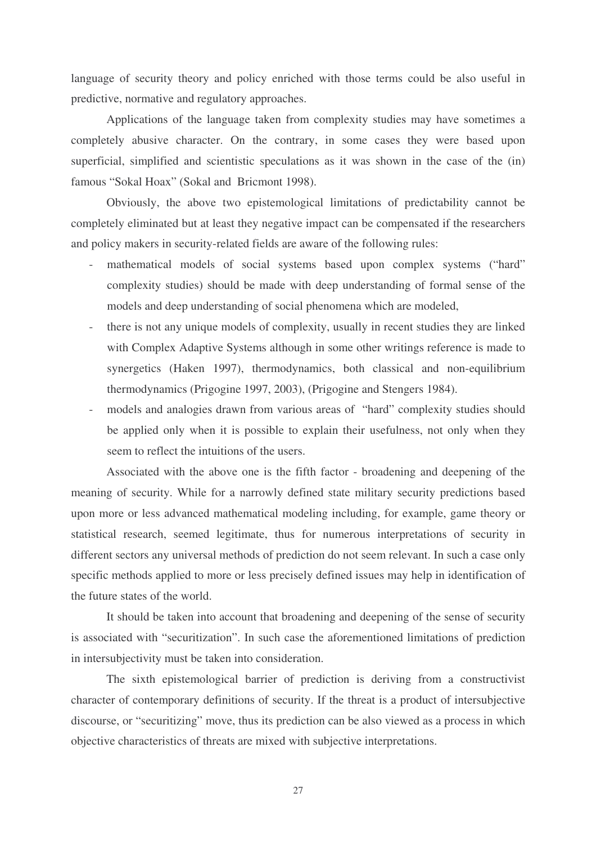language of security theory and policy enriched with those terms could be also useful in predictive, normative and regulatory approaches.

Applications of the language taken from complexity studies may have sometimes a completely abusive character. On the contrary, in some cases they were based upon superficial, simplified and scientistic speculations as it was shown in the case of the (in) famous "Sokal Hoax" (Sokal and Bricmont 1998).

Obviously, the above two epistemological limitations of predictability cannot be completely eliminated but at least they negative impact can be compensated if the researchers and policy makers in security-related fields are aware of the following rules:

- mathematical models of social systems based upon complex systems ("hard" complexity studies) should be made with deep understanding of formal sense of the models and deep understanding of social phenomena which are modeled,
- there is not any unique models of complexity, usually in recent studies they are linked with Complex Adaptive Systems although in some other writings reference is made to synergetics (Haken 1997), thermodynamics, both classical and non-equilibrium thermodynamics (Prigogine 1997, 2003), (Prigogine and Stengers 1984).
- models and analogies drawn from various areas of "hard" complexity studies should be applied only when it is possible to explain their usefulness, not only when they seem to reflect the intuitions of the users.

Associated with the above one is the fifth factor - broadening and deepening of the meaning of security. While for a narrowly defined state military security predictions based upon more or less advanced mathematical modeling including, for example, game theory or statistical research, seemed legitimate, thus for numerous interpretations of security in different sectors any universal methods of prediction do not seem relevant. In such a case only specific methods applied to more or less precisely defined issues may help in identification of the future states of the world.

It should be taken into account that broadening and deepening of the sense of security is associated with "securitization". In such case the aforementioned limitations of prediction in intersubjectivity must be taken into consideration.

The sixth epistemological barrier of prediction is deriving from a constructivist character of contemporary definitions of security. If the threat is a product of intersubjective discourse, or "securitizing" move, thus its prediction can be also viewed as a process in which objective characteristics of threats are mixed with subjective interpretations.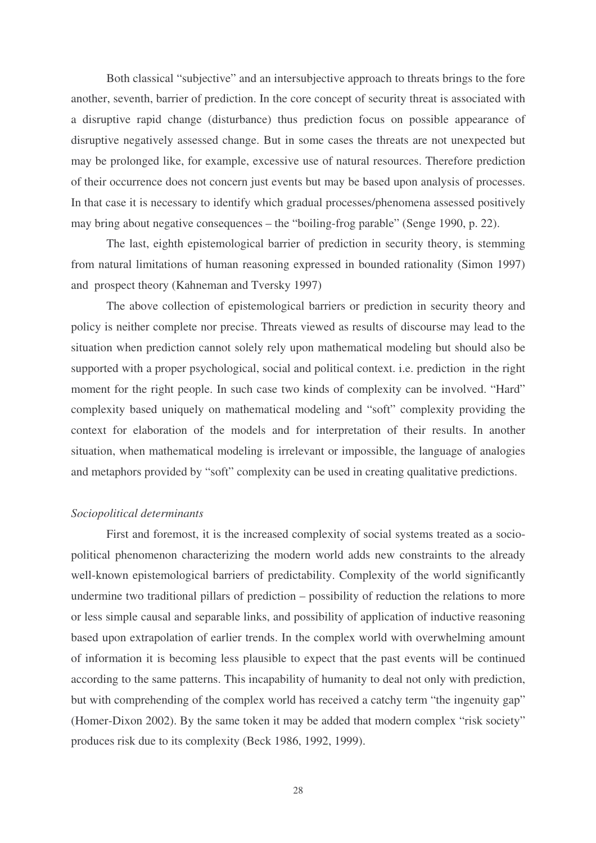Both classical "subjective" and an intersubjective approach to threats brings to the fore another, seventh, barrier of prediction. In the core concept of security threat is associated with a disruptive rapid change (disturbance) thus prediction focus on possible appearance of disruptive negatively assessed change. But in some cases the threats are not unexpected but may be prolonged like, for example, excessive use of natural resources. Therefore prediction of their occurrence does not concern just events but may be based upon analysis of processes. In that case it is necessary to identify which gradual processes/phenomena assessed positively may bring about negative consequences – the "boiling-frog parable" (Senge 1990, p. 22).

The last, eighth epistemological barrier of prediction in security theory, is stemming from natural limitations of human reasoning expressed in bounded rationality (Simon 1997) and prospect theory (Kahneman and Tversky 1997)

The above collection of epistemological barriers or prediction in security theory and policy is neither complete nor precise. Threats viewed as results of discourse may lead to the situation when prediction cannot solely rely upon mathematical modeling but should also be supported with a proper psychological, social and political context. i.e. prediction in the right moment for the right people. In such case two kinds of complexity can be involved. "Hard" complexity based uniquely on mathematical modeling and "soft" complexity providing the context for elaboration of the models and for interpretation of their results. In another situation, when mathematical modeling is irrelevant or impossible, the language of analogies and metaphors provided by "soft" complexity can be used in creating qualitative predictions.

### *Sociopolitical determinants*

First and foremost, it is the increased complexity of social systems treated as a sociopolitical phenomenon characterizing the modern world adds new constraints to the already well-known epistemological barriers of predictability. Complexity of the world significantly undermine two traditional pillars of prediction – possibility of reduction the relations to more or less simple causal and separable links, and possibility of application of inductive reasoning based upon extrapolation of earlier trends. In the complex world with overwhelming amount of information it is becoming less plausible to expect that the past events will be continued according to the same patterns. This incapability of humanity to deal not only with prediction, but with comprehending of the complex world has received a catchy term "the ingenuity gap" (Homer-Dixon 2002). By the same token it may be added that modern complex "risk society" produces risk due to its complexity (Beck 1986, 1992, 1999).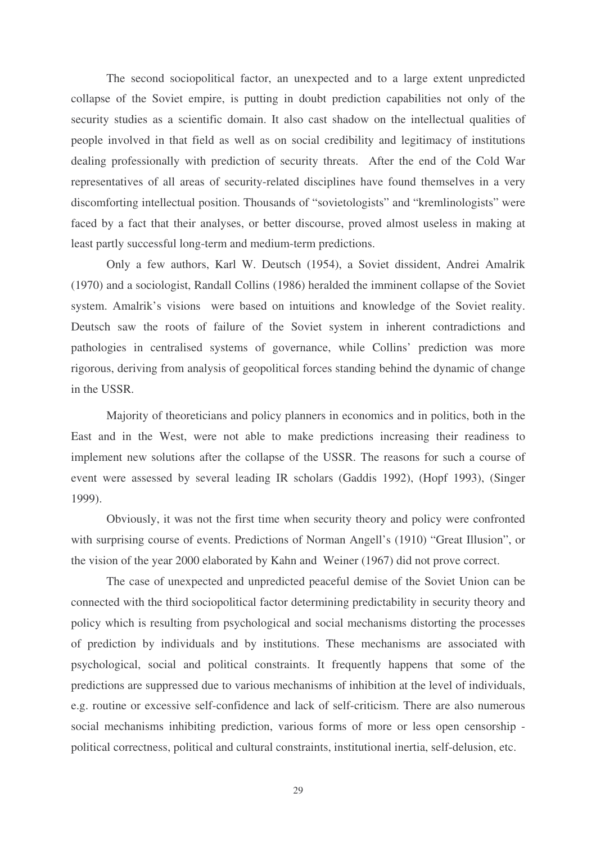The second sociopolitical factor, an unexpected and to a large extent unpredicted collapse of the Soviet empire, is putting in doubt prediction capabilities not only of the security studies as a scientific domain. It also cast shadow on the intellectual qualities of people involved in that field as well as on social credibility and legitimacy of institutions dealing professionally with prediction of security threats. After the end of the Cold War representatives of all areas of security-related disciplines have found themselves in a very discomforting intellectual position. Thousands of "sovietologists" and "kremlinologists" were faced by a fact that their analyses, or better discourse, proved almost useless in making at least partly successful long-term and medium-term predictions.

Only a few authors, Karl W. Deutsch (1954), a Soviet dissident, Andrei Amalrik (1970) and a sociologist, Randall Collins (1986) heralded the imminent collapse of the Soviet system. Amalrik's visions were based on intuitions and knowledge of the Soviet reality. Deutsch saw the roots of failure of the Soviet system in inherent contradictions and pathologies in centralised systems of governance, while Collins' prediction was more rigorous, deriving from analysis of geopolitical forces standing behind the dynamic of change in the USSR.

Majority of theoreticians and policy planners in economics and in politics, both in the East and in the West, were not able to make predictions increasing their readiness to implement new solutions after the collapse of the USSR. The reasons for such a course of event were assessed by several leading IR scholars (Gaddis 1992), (Hopf 1993), (Singer 1999).

Obviously, it was not the first time when security theory and policy were confronted with surprising course of events. Predictions of Norman Angell's (1910) "Great Illusion", or the vision of the year 2000 elaborated by Kahn and Weiner (1967) did not prove correct.

The case of unexpected and unpredicted peaceful demise of the Soviet Union can be connected with the third sociopolitical factor determining predictability in security theory and policy which is resulting from psychological and social mechanisms distorting the processes of prediction by individuals and by institutions. These mechanisms are associated with psychological, social and political constraints. It frequently happens that some of the predictions are suppressed due to various mechanisms of inhibition at the level of individuals, e.g. routine or excessive self-confidence and lack of self-criticism. There are also numerous social mechanisms inhibiting prediction, various forms of more or less open censorship political correctness, political and cultural constraints, institutional inertia, self-delusion, etc.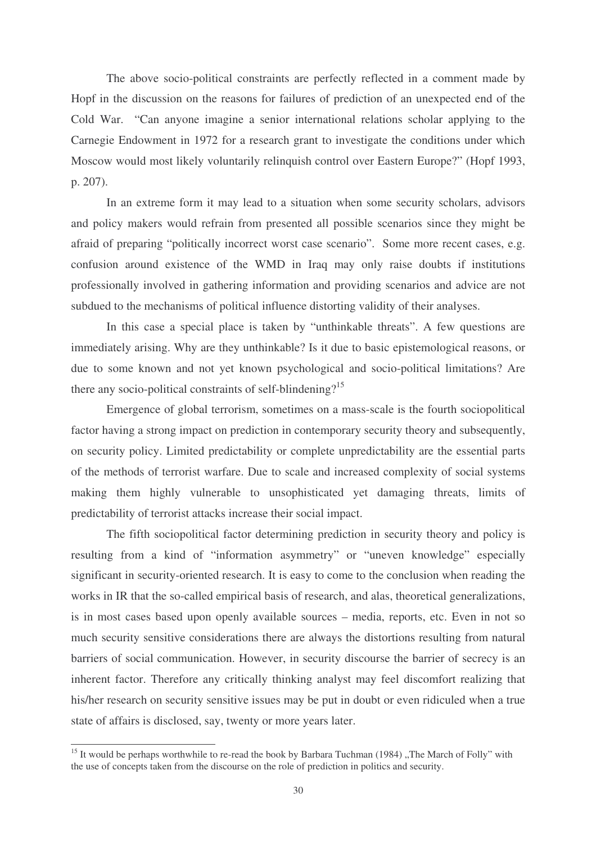The above socio-political constraints are perfectly reflected in a comment made by Hopf in the discussion on the reasons for failures of prediction of an unexpected end of the Cold War. "Can anyone imagine a senior international relations scholar applying to the Carnegie Endowment in 1972 for a research grant to investigate the conditions under which Moscow would most likely voluntarily relinquish control over Eastern Europe?" (Hopf 1993, p. 207).

In an extreme form it may lead to a situation when some security scholars, advisors and policy makers would refrain from presented all possible scenarios since they might be afraid of preparing "politically incorrect worst case scenario". Some more recent cases, e.g. confusion around existence of the WMD in Iraq may only raise doubts if institutions professionally involved in gathering information and providing scenarios and advice are not subdued to the mechanisms of political influence distorting validity of their analyses.

In this case a special place is taken by "unthinkable threats". A few questions are immediately arising. Why are they unthinkable? Is it due to basic epistemological reasons, or due to some known and not yet known psychological and socio-political limitations? Are there any socio-political constraints of self-blindening?<sup>15</sup>

Emergence of global terrorism, sometimes on a mass-scale is the fourth sociopolitical factor having a strong impact on prediction in contemporary security theory and subsequently, on security policy. Limited predictability or complete unpredictability are the essential parts of the methods of terrorist warfare. Due to scale and increased complexity of social systems making them highly vulnerable to unsophisticated yet damaging threats, limits of predictability of terrorist attacks increase their social impact.

The fifth sociopolitical factor determining prediction in security theory and policy is resulting from a kind of "information asymmetry" or "uneven knowledge" especially significant in security-oriented research. It is easy to come to the conclusion when reading the works in IR that the so-called empirical basis of research, and alas, theoretical generalizations, is in most cases based upon openly available sources – media, reports, etc. Even in not so much security sensitive considerations there are always the distortions resulting from natural barriers of social communication. However, in security discourse the barrier of secrecy is an inherent factor. Therefore any critically thinking analyst may feel discomfort realizing that his/her research on security sensitive issues may be put in doubt or even ridiculed when a true state of affairs is disclosed, say, twenty or more years later.

<sup>&</sup>lt;sup>15</sup> It would be perhaps worthwhile to re-read the book by Barbara Tuchman (1984) "The March of Folly" with the use of concepts taken from the discourse on the role of prediction in politics and security.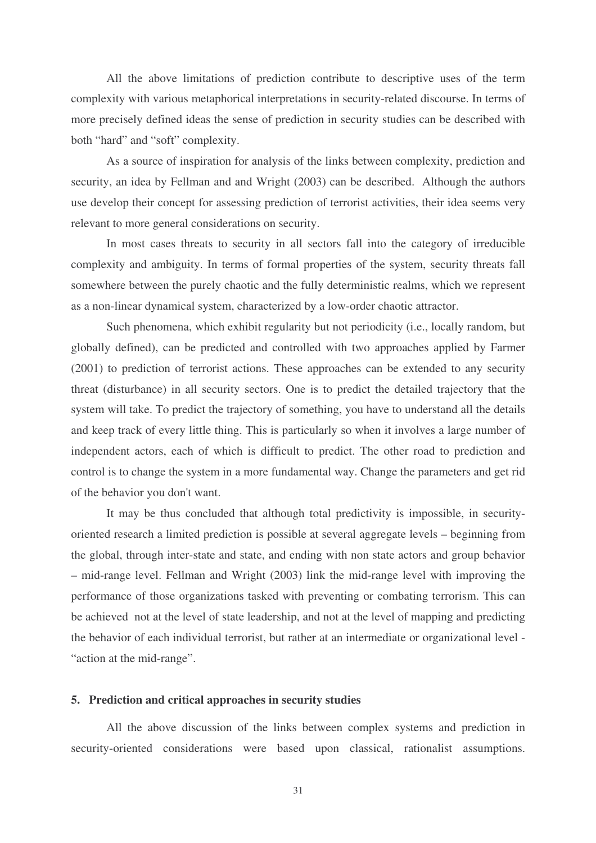All the above limitations of prediction contribute to descriptive uses of the term complexity with various metaphorical interpretations in security-related discourse. In terms of more precisely defined ideas the sense of prediction in security studies can be described with both "hard" and "soft" complexity.

As a source of inspiration for analysis of the links between complexity, prediction and security, an idea by Fellman and and Wright (2003) can be described. Although the authors use develop their concept for assessing prediction of terrorist activities, their idea seems very relevant to more general considerations on security.

In most cases threats to security in all sectors fall into the category of irreducible complexity and ambiguity. In terms of formal properties of the system, security threats fall somewhere between the purely chaotic and the fully deterministic realms, which we represent as a non-linear dynamical system, characterized by a low-order chaotic attractor.

Such phenomena, which exhibit regularity but not periodicity (i.e., locally random, but globally defined), can be predicted and controlled with two approaches applied by Farmer (2001) to prediction of terrorist actions. These approaches can be extended to any security threat (disturbance) in all security sectors. One is to predict the detailed trajectory that the system will take. To predict the trajectory of something, you have to understand all the details and keep track of every little thing. This is particularly so when it involves a large number of independent actors, each of which is difficult to predict. The other road to prediction and control is to change the system in a more fundamental way. Change the parameters and get rid of the behavior you don't want.

It may be thus concluded that although total predictivity is impossible, in securityoriented research a limited prediction is possible at several aggregate levels – beginning from the global, through inter-state and state, and ending with non state actors and group behavior – mid-range level. Fellman and Wright (2003) link the mid-range level with improving the performance of those organizations tasked with preventing or combating terrorism. This can be achieved not at the level of state leadership, and not at the level of mapping and predicting the behavior of each individual terrorist, but rather at an intermediate or organizational level - "action at the mid-range".

### **5. Prediction and critical approaches in security studies**

All the above discussion of the links between complex systems and prediction in security-oriented considerations were based upon classical, rationalist assumptions.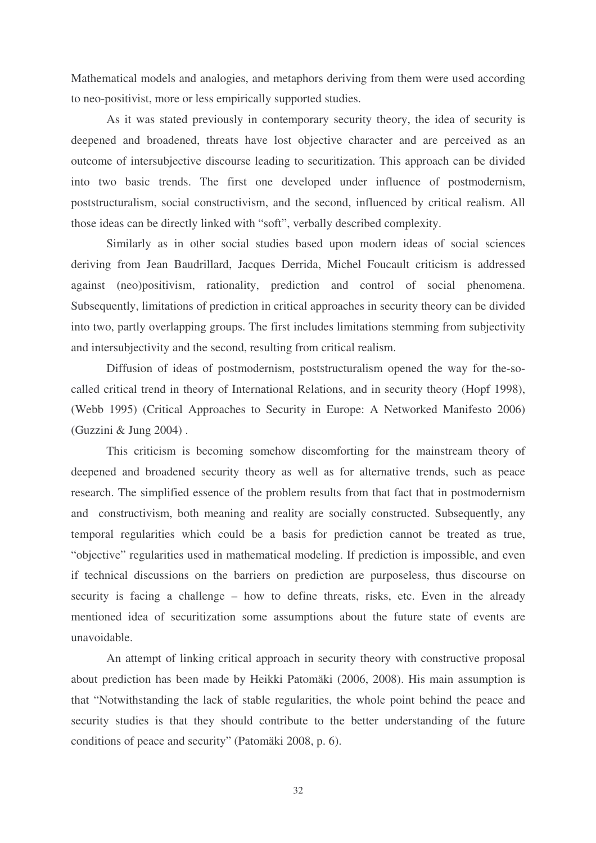Mathematical models and analogies, and metaphors deriving from them were used according to neo-positivist, more or less empirically supported studies.

As it was stated previously in contemporary security theory, the idea of security is deepened and broadened, threats have lost objective character and are perceived as an outcome of intersubjective discourse leading to securitization. This approach can be divided into two basic trends. The first one developed under influence of postmodernism, poststructuralism, social constructivism, and the second, influenced by critical realism. All those ideas can be directly linked with "soft", verbally described complexity.

Similarly as in other social studies based upon modern ideas of social sciences deriving from Jean Baudrillard, Jacques Derrida, Michel Foucault criticism is addressed against (neo)positivism, rationality, prediction and control of social phenomena. Subsequently, limitations of prediction in critical approaches in security theory can be divided into two, partly overlapping groups. The first includes limitations stemming from subjectivity and intersubjectivity and the second, resulting from critical realism.

Diffusion of ideas of postmodernism, poststructuralism opened the way for the-socalled critical trend in theory of International Relations, and in security theory (Hopf 1998), (Webb 1995) (Critical Approaches to Security in Europe: A Networked Manifesto 2006) (Guzzini & Jung 2004) .

This criticism is becoming somehow discomforting for the mainstream theory of deepened and broadened security theory as well as for alternative trends, such as peace research. The simplified essence of the problem results from that fact that in postmodernism and constructivism, both meaning and reality are socially constructed. Subsequently, any temporal regularities which could be a basis for prediction cannot be treated as true, "objective" regularities used in mathematical modeling. If prediction is impossible, and even if technical discussions on the barriers on prediction are purposeless, thus discourse on security is facing a challenge – how to define threats, risks, etc. Even in the already mentioned idea of securitization some assumptions about the future state of events are unavoidable.

An attempt of linking critical approach in security theory with constructive proposal about prediction has been made by Heikki Patomäki (2006, 2008). His main assumption is that "Notwithstanding the lack of stable regularities, the whole point behind the peace and security studies is that they should contribute to the better understanding of the future conditions of peace and security" (Patomäki 2008, p. 6).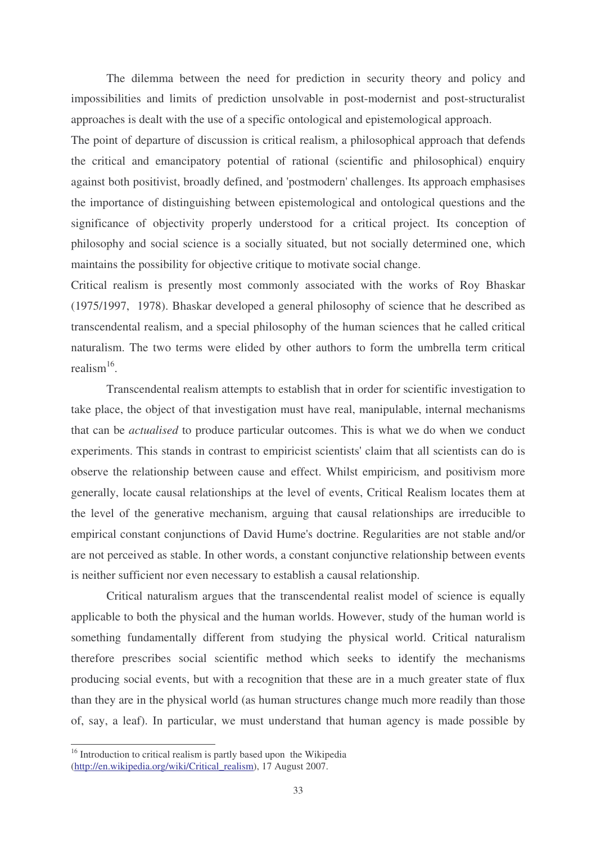The dilemma between the need for prediction in security theory and policy and impossibilities and limits of prediction unsolvable in post-modernist and post-structuralist approaches is dealt with the use of a specific ontological and epistemological approach.

The point of departure of discussion is critical realism, a philosophical approach that defends the critical and emancipatory potential of rational (scientific and philosophical) enquiry against both positivist, broadly defined, and 'postmodern'challenges. Its approach emphasises the importance of distinguishing between epistemological and ontological questions and the significance of objectivity properly understood for a critical project. Its conception of philosophy and social science is a socially situated, but not socially determined one, which maintains the possibility for objective critique to motivate social change.

Critical realism is presently most commonly associated with the works of Roy Bhaskar (1975/1997, 1978). Bhaskar developed a general philosophy of science that he described as transcendental realism, and a special philosophy of the human sciences that he called critical naturalism. The two terms were elided by other authors to form the umbrella term critical realism<sup>16</sup>.

Transcendental realism attempts to establish that in order for scientific investigation to take place, the object of that investigation must have real, manipulable, internal mechanisms that can be *actualised* to produce particular outcomes. This is what we do when we conduct experiments. This stands in contrast to empiricist scientists'claim that all scientists can do is observe the relationship between cause and effect. Whilst empiricism, and positivism more generally, locate causal relationships at the level of events, Critical Realism locates them at the level of the generative mechanism, arguing that causal relationships are irreducible to empirical constant conjunctions of David Hume's doctrine. Regularities are not stable and/or are not perceived as stable. In other words, a constant conjunctive relationship between events is neither sufficient nor even necessary to establish a causal relationship.

Critical naturalism argues that the transcendental realist model of science is equally applicable to both the physical and the human worlds. However, study of the human world is something fundamentally different from studying the physical world. Critical naturalism therefore prescribes social scientific method which seeks to identify the mechanisms producing social events, but with a recognition that these are in a much greater state of flux than they are in the physical world (as human structures change much more readily than those of, say, a leaf). In particular, we must understand that human agency is made possible by

<sup>&</sup>lt;sup>16</sup> Introduction to critical realism is partly based upon the Wikipedia (http://en.wikipedia.org/wiki/Critical\_realism), 17 August 2007.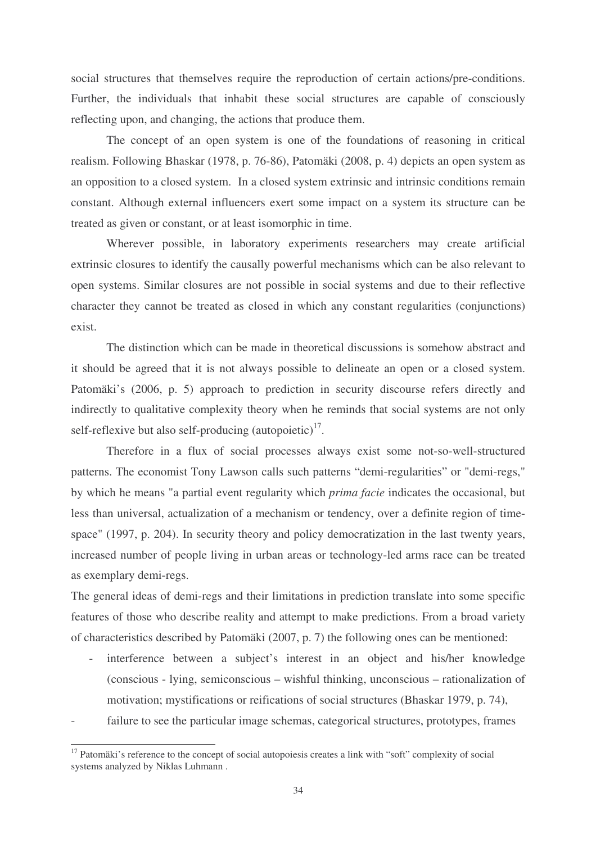social structures that themselves require the reproduction of certain actions/pre-conditions. Further, the individuals that inhabit these social structures are capable of consciously reflecting upon, and changing, the actions that produce them.

The concept of an open system is one of the foundations of reasoning in critical realism. Following Bhaskar (1978, p. 76-86), Patomäki (2008, p. 4) depicts an open system as an opposition to a closed system. In a closed system extrinsic and intrinsic conditions remain constant. Although external influencers exert some impact on a system its structure can be treated as given or constant, or at least isomorphic in time.

Wherever possible, in laboratory experiments researchers may create artificial extrinsic closures to identify the causally powerful mechanisms which can be also relevant to open systems. Similar closures are not possible in social systems and due to their reflective character they cannot be treated as closed in which any constant regularities (conjunctions) exist.

The distinction which can be made in theoretical discussions is somehow abstract and it should be agreed that it is not always possible to delineate an open or a closed system. Patomäki's (2006, p. 5) approach to prediction in security discourse refers directly and indirectly to qualitative complexity theory when he reminds that social systems are not only self-reflexive but also self-producing  $(autopoietic)^{17}$ .

Therefore in a flux of social processes always exist some not-so-well-structured patterns. The economist Tony Lawson calls such patterns "demi-regularities" or "demi-regs," by which he means "a partial event regularity which *prima facie* indicates the occasional, but less than universal, actualization of a mechanism or tendency, over a definite region of timespace" (1997, p. 204). In security theory and policy democratization in the last twenty years, increased number of people living in urban areas or technology-led arms race can be treated as exemplary demi-regs.

The general ideas of demi-regs and their limitations in prediction translate into some specific features of those who describe reality and attempt to make predictions. From a broad variety of characteristics described by Patomäki (2007, p. 7) the following ones can be mentioned:

- interference between a subject's interest in an object and his/her knowledge (conscious - lying, semiconscious – wishful thinking, unconscious – rationalization of motivation; mystifications or reifications of social structures (Bhaskar 1979, p. 74),
- failure to see the particular image schemas, categorical structures, prototypes, frames

<sup>&</sup>lt;sup>17</sup> Patomäki's reference to the concept of social autopoiesis creates a link with "soft" complexity of social systems analyzed by Niklas Luhmann .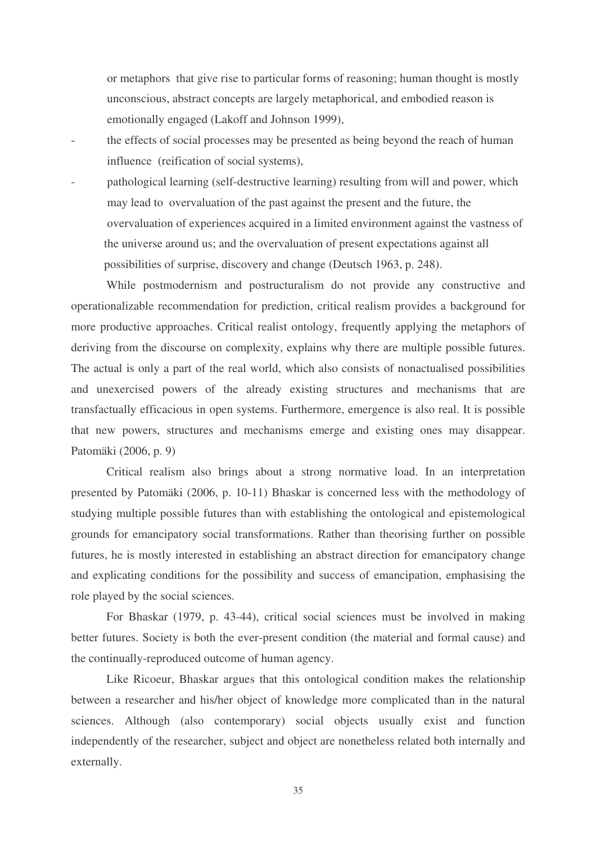or metaphors that give rise to particular forms of reasoning; human thought is mostly unconscious, abstract concepts are largely metaphorical, and embodied reason is emotionally engaged (Lakoff and Johnson 1999),

- the effects of social processes may be presented as being beyond the reach of human influence (reification of social systems),
- pathological learning (self-destructive learning) resulting from will and power, which may lead to overvaluation of the past against the present and the future, the overvaluation of experiences acquired in a limited environment against the vastness of the universe around us; and the overvaluation of present expectations against all possibilities of surprise, discovery and change (Deutsch 1963, p. 248).

While postmodernism and postructuralism do not provide any constructive and operationalizable recommendation for prediction, critical realism provides a background for more productive approaches. Critical realist ontology, frequently applying the metaphors of deriving from the discourse on complexity, explains why there are multiple possible futures. The actual is only a part of the real world, which also consists of nonactualised possibilities and unexercised powers of the already existing structures and mechanisms that are transfactually efficacious in open systems. Furthermore, emergence is also real. It is possible that new powers, structures and mechanisms emerge and existing ones may disappear. Patomäki (2006, p. 9)

Critical realism also brings about a strong normative load. In an interpretation presented by Patomäki (2006, p. 10-11) Bhaskar is concerned less with the methodology of studying multiple possible futures than with establishing the ontological and epistemological grounds for emancipatory social transformations. Rather than theorising further on possible futures, he is mostly interested in establishing an abstract direction for emancipatory change and explicating conditions for the possibility and success of emancipation, emphasising the role played by the social sciences.

For Bhaskar (1979, p. 43-44), critical social sciences must be involved in making better futures. Society is both the ever-present condition (the material and formal cause) and the continually-reproduced outcome of human agency.

Like Ricoeur, Bhaskar argues that this ontological condition makes the relationship between a researcher and his/her object of knowledge more complicated than in the natural sciences. Although (also contemporary) social objects usually exist and function independently of the researcher, subject and object are nonetheless related both internally and externally.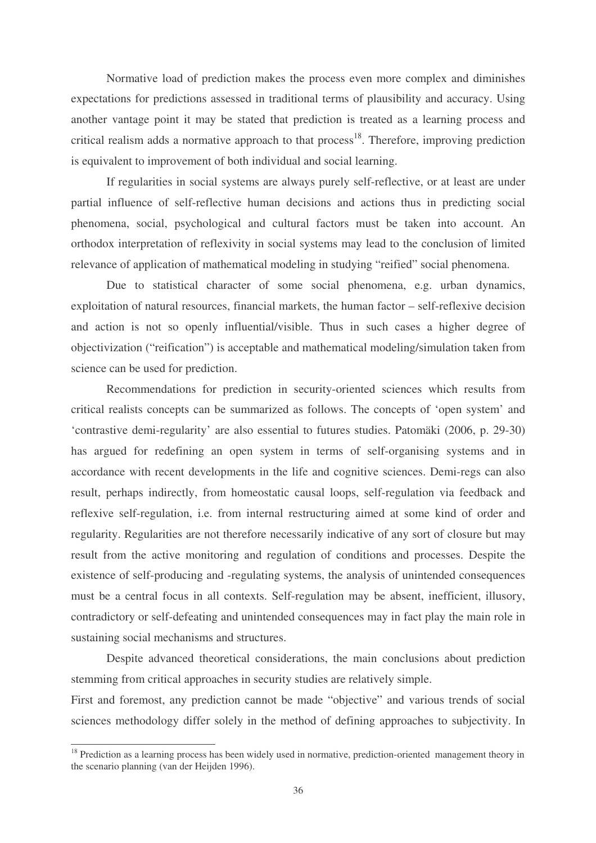Normative load of prediction makes the process even more complex and diminishes expectations for predictions assessed in traditional terms of plausibility and accuracy. Using another vantage point it may be stated that prediction is treated as a learning process and critical realism adds a normative approach to that process<sup>18</sup>. Therefore, improving prediction is equivalent to improvement of both individual and social learning.

If regularities in social systems are always purely self-reflective, or at least are under partial influence of self-reflective human decisions and actions thus in predicting social phenomena, social, psychological and cultural factors must be taken into account. An orthodox interpretation of reflexivity in social systems may lead to the conclusion of limited relevance of application of mathematical modeling in studying "reified" social phenomena.

Due to statistical character of some social phenomena, e.g. urban dynamics, exploitation of natural resources, financial markets, the human factor – self-reflexive decision and action is not so openly influential/visible. Thus in such cases a higher degree of objectivization ("reification") is acceptable and mathematical modeling/simulation taken from science can be used for prediction.

Recommendations for prediction in security-oriented sciences which results from critical realists concepts can be summarized as follows. The concepts of 'open system' and 'contrastive demi-regularity' are also essential to futures studies. Patomäki (2006, p. 29-30) has argued for redefining an open system in terms of self-organising systems and in accordance with recent developments in the life and cognitive sciences. Demi-regs can also result, perhaps indirectly, from homeostatic causal loops, self-regulation via feedback and reflexive self-regulation, i.e. from internal restructuring aimed at some kind of order and regularity. Regularities are not therefore necessarily indicative of any sort of closure but may result from the active monitoring and regulation of conditions and processes. Despite the existence of self-producing and -regulating systems, the analysis of unintended consequences must be a central focus in all contexts. Self-regulation may be absent, inefficient, illusory, contradictory or self-defeating and unintended consequences may in fact play the main role in sustaining social mechanisms and structures.

Despite advanced theoretical considerations, the main conclusions about prediction stemming from critical approaches in security studies are relatively simple.

First and foremost, any prediction cannot be made "objective" and various trends of social sciences methodology differ solely in the method of defining approaches to subjectivity. In

<sup>&</sup>lt;sup>18</sup> Prediction as a learning process has been widely used in normative, prediction-oriented management theory in the scenario planning (van der Heijden 1996).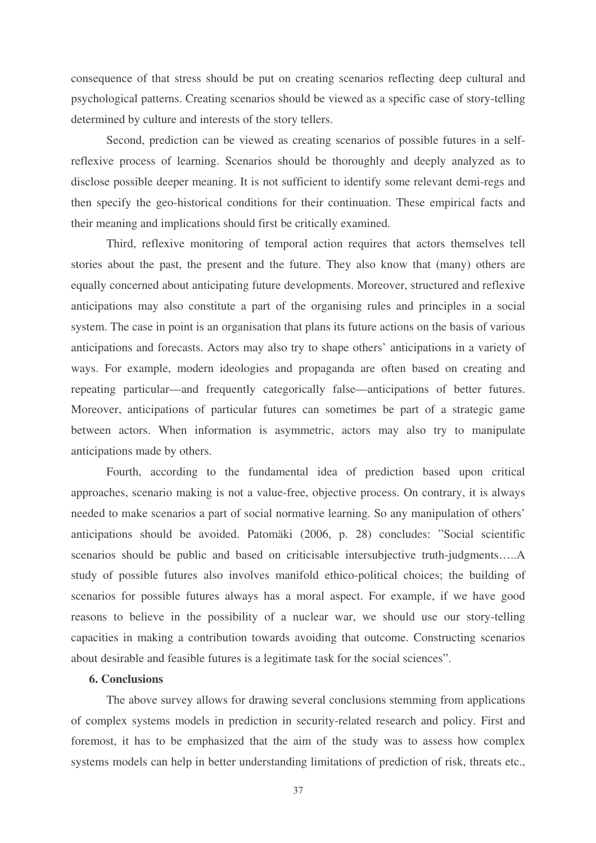consequence of that stress should be put on creating scenarios reflecting deep cultural and psychological patterns. Creating scenarios should be viewed as a specific case of story-telling determined by culture and interests of the story tellers.

Second, prediction can be viewed as creating scenarios of possible futures in a selfreflexive process of learning. Scenarios should be thoroughly and deeply analyzed as to disclose possible deeper meaning. It is not sufficient to identify some relevant demi-regs and then specify the geo-historical conditions for their continuation. These empirical facts and their meaning and implications should first be critically examined.

Third, reflexive monitoring of temporal action requires that actors themselves tell stories about the past, the present and the future. They also know that (many) others are equally concerned about anticipating future developments. Moreover, structured and reflexive anticipations may also constitute a part of the organising rules and principles in a social system. The case in point is an organisation that plans its future actions on the basis of various anticipations and forecasts. Actors may also try to shape others' anticipations in a variety of ways. For example, modern ideologies and propaganda are often based on creating and repeating particular—and frequently categorically false—anticipations of better futures. Moreover, anticipations of particular futures can sometimes be part of a strategic game between actors. When information is asymmetric, actors may also try to manipulate anticipations made by others.

Fourth, according to the fundamental idea of prediction based upon critical approaches, scenario making is not a value-free, objective process. On contrary, it is always needed to make scenarios a part of social normative learning. So any manipulation of others' anticipations should be avoided. Patomäki (2006, p. 28) concludes: "Social scientific scenarios should be public and based on criticisable intersubjective truth-judgments.....A study of possible futures also involves manifold ethico-political choices; the building of scenarios for possible futures always has a moral aspect. For example, if we have good reasons to believe in the possibility of a nuclear war, we should use our story-telling capacities in making a contribution towards avoiding that outcome. Constructing scenarios about desirable and feasible futures is a legitimate task for the social sciences".

### **6. Conclusions**

The above survey allows for drawing several conclusions stemming from applications of complex systems models in prediction in security-related research and policy. First and foremost, it has to be emphasized that the aim of the study was to assess how complex systems models can help in better understanding limitations of prediction of risk, threats etc.,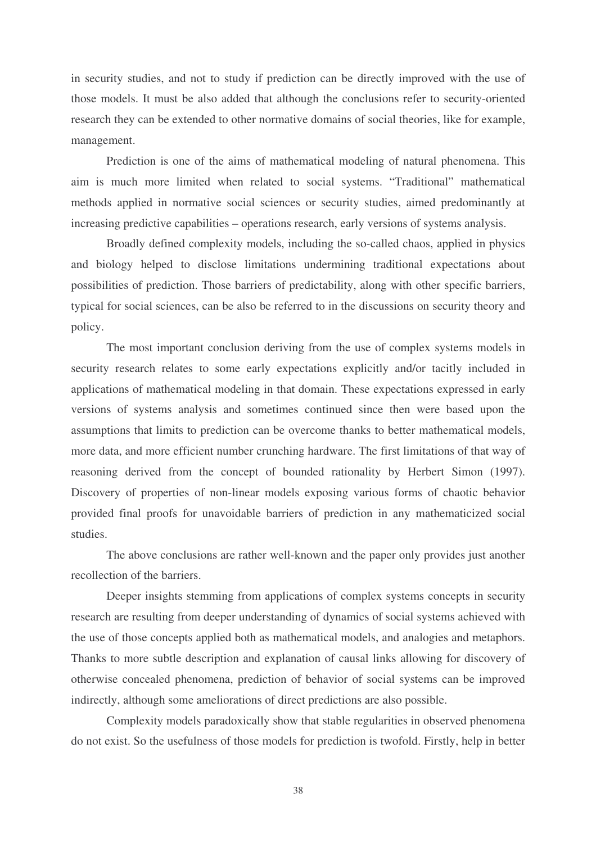in security studies, and not to study if prediction can be directly improved with the use of those models. It must be also added that although the conclusions refer to security-oriented research they can be extended to other normative domains of social theories, like for example, management.

Prediction is one of the aims of mathematical modeling of natural phenomena. This aim is much more limited when related to social systems. "Traditional" mathematical methods applied in normative social sciences or security studies, aimed predominantly at increasing predictive capabilities – operations research, early versions of systems analysis.

Broadly defined complexity models, including the so-called chaos, applied in physics and biology helped to disclose limitations undermining traditional expectations about possibilities of prediction. Those barriers of predictability, along with other specific barriers, typical for social sciences, can be also be referred to in the discussions on security theory and policy.

The most important conclusion deriving from the use of complex systems models in security research relates to some early expectations explicitly and/or tacitly included in applications of mathematical modeling in that domain. These expectations expressed in early versions of systems analysis and sometimes continued since then were based upon the assumptions that limits to prediction can be overcome thanks to better mathematical models, more data, and more efficient number crunching hardware. The first limitations of that way of reasoning derived from the concept of bounded rationality by Herbert Simon (1997). Discovery of properties of non-linear models exposing various forms of chaotic behavior provided final proofs for unavoidable barriers of prediction in any mathematicized social studies.

The above conclusions are rather well-known and the paper only provides just another recollection of the barriers.

Deeper insights stemming from applications of complex systems concepts in security research are resulting from deeper understanding of dynamics of social systems achieved with the use of those concepts applied both as mathematical models, and analogies and metaphors. Thanks to more subtle description and explanation of causal links allowing for discovery of otherwise concealed phenomena, prediction of behavior of social systems can be improved indirectly, although some ameliorations of direct predictions are also possible.

Complexity models paradoxically show that stable regularities in observed phenomena do not exist. So the usefulness of those models for prediction is twofold. Firstly, help in better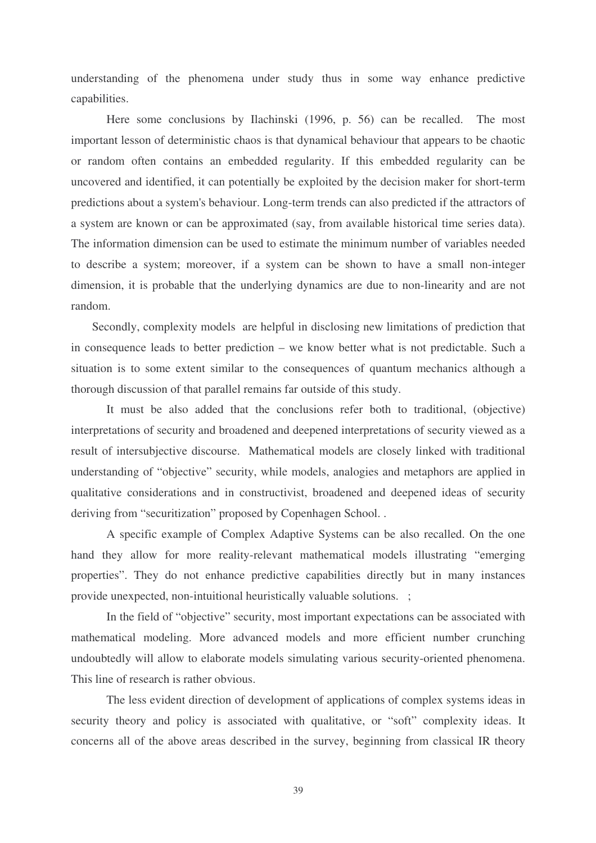understanding of the phenomena under study thus in some way enhance predictive capabilities.

Here some conclusions by Ilachinski (1996, p. 56) can be recalled. The most important lesson of deterministic chaos is that dynamical behaviour that appears to be chaotic or random often contains an embedded regularity. If this embedded regularity can be uncovered and identified, it can potentially be exploited by the decision maker for short-term predictions about a system's behaviour. Long-term trends can also predicted if the attractors of a system are known or can be approximated (say, from available historical time series data). The information dimension can be used to estimate the minimum number of variables needed to describe a system; moreover, if a system can be shown to have a small non-integer dimension, it is probable that the underlying dynamics are due to non-linearity and are not random.

Secondly, complexity models are helpful in disclosing new limitations of prediction that in consequence leads to better prediction – we know better what is not predictable. Such a situation is to some extent similar to the consequences of quantum mechanics although a thorough discussion of that parallel remains far outside of this study.

It must be also added that the conclusions refer both to traditional, (objective) interpretations of security and broadened and deepened interpretations of security viewed as a result of intersubjective discourse. Mathematical models are closely linked with traditional understanding of "objective" security, while models, analogies and metaphors are applied in qualitative considerations and in constructivist, broadened and deepened ideas of security deriving from "securitization" proposed by Copenhagen School. .

A specific example of Complex Adaptive Systems can be also recalled. On the one hand they allow for more reality-relevant mathematical models illustrating "emerging properties". They do not enhance predictive capabilities directly but in many instances provide unexpected, non-intuitional heuristically valuable solutions. ;

In the field of "objective" security, most important expectations can be associated with mathematical modeling. More advanced models and more efficient number crunching undoubtedly will allow to elaborate models simulating various security-oriented phenomena. This line of research is rather obvious.

The less evident direction of development of applications of complex systems ideas in security theory and policy is associated with qualitative, or "soft" complexity ideas. It concerns all of the above areas described in the survey, beginning from classical IR theory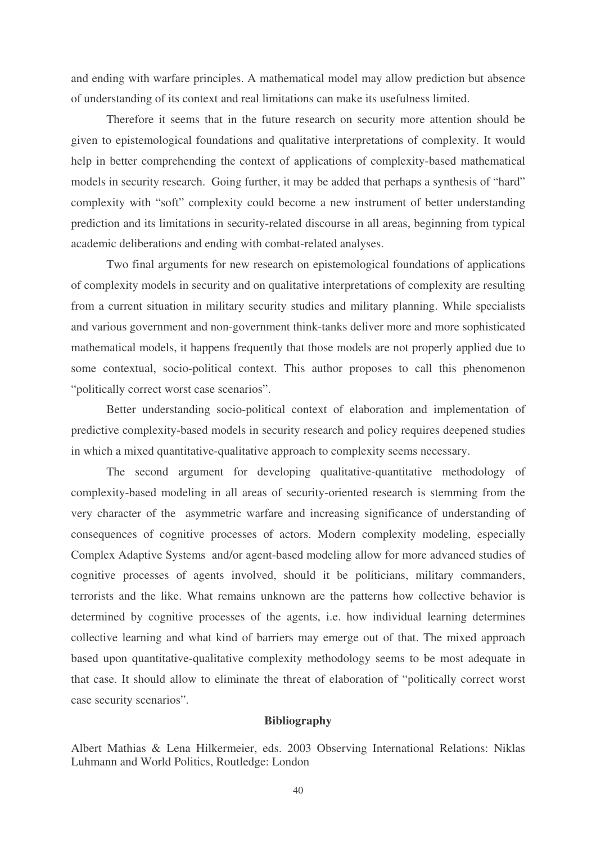and ending with warfare principles. A mathematical model may allow prediction but absence of understanding of its context and real limitations can make its usefulness limited.

Therefore it seems that in the future research on security more attention should be given to epistemological foundations and qualitative interpretations of complexity. It would help in better comprehending the context of applications of complexity-based mathematical models in security research. Going further, it may be added that perhaps a synthesis of "hard" complexity with "soft" complexity could become a new instrument of better understanding prediction and its limitations in security-related discourse in all areas, beginning from typical academic deliberations and ending with combat-related analyses.

Two final arguments for new research on epistemological foundations of applications of complexity models in security and on qualitative interpretations of complexity are resulting from a current situation in military security studies and military planning. While specialists and various government and non-government think-tanks deliver more and more sophisticated mathematical models, it happens frequently that those models are not properly applied due to some contextual, socio-political context. This author proposes to call this phenomenon "politically correct worst case scenarios".

Better understanding socio-political context of elaboration and implementation of predictive complexity-based models in security research and policy requires deepened studies in which a mixed quantitative-qualitative approach to complexity seems necessary.

The second argument for developing qualitative-quantitative methodology of complexity-based modeling in all areas of security-oriented research is stemming from the very character of the asymmetric warfare and increasing significance of understanding of consequences of cognitive processes of actors. Modern complexity modeling, especially Complex Adaptive Systems and/or agent-based modeling allow for more advanced studies of cognitive processes of agents involved, should it be politicians, military commanders, terrorists and the like. What remains unknown are the patterns how collective behavior is determined by cognitive processes of the agents, i.e. how individual learning determines collective learning and what kind of barriers may emerge out of that. The mixed approach based upon quantitative-qualitative complexity methodology seems to be most adequate in that case. It should allow to eliminate the threat of elaboration of "politically correct worst case security scenarios".

### **Bibliography**

Albert Mathias & Lena Hilkermeier, eds. 2003 Observing International Relations: Niklas Luhmann and World Politics, Routledge: London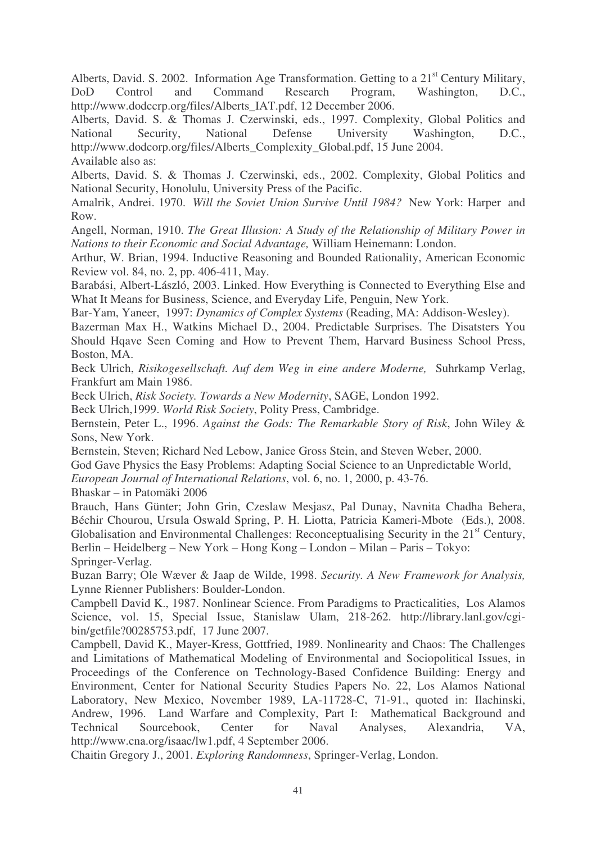Alberts, David. S. 2002. Information Age Transformation. Getting to a 21<sup>st</sup> Century Military, DoD Control and Command Research Program, Washington, D.C., http://www.dodccrp.org/files/Alberts\_IAT.pdf, 12 December 2006.

Alberts, David. S. & Thomas J. Czerwinski, eds., 1997. Complexity, Global Politics and National Security, National Defense University Washington, D.C., http://www.dodcorp.org/files/Alberts\_Complexity\_Global.pdf, 15 June 2004. Available also as:

Alberts, David. S. & Thomas J. Czerwinski, eds., 2002. Complexity, Global Politics and National Security, Honolulu, University Press of the Pacific.

Amalrik, Andrei. 1970. *Will the Soviet Union Survive Until 1984?* New York: Harper and Row.

Angell, Norman, 1910. *The Great Illusion: A Study of the Relationship of Military Power in Nations to their Economic and Social Advantage,* William Heinemann: London.

Arthur, W. Brian, 1994. Inductive Reasoning and Bounded Rationality, American Economic Review vol. 84, no. 2, pp. 406-411, May.

Barabási, Albert-László, 2003. Linked. How Everything is Connected to Everything Else and What It Means for Business, Science, and Everyday Life, Penguin, New York.

Bar-Yam, Yaneer, 1997: *Dynamics of Complex Systems* (Reading, MA: Addison-Wesley).

Bazerman Max H., Watkins Michael D., 2004. Predictable Surprises. The Disatsters You Should Hqave Seen Coming and How to Prevent Them, Harvard Business School Press, Boston, MA.

Beck Ulrich, *Risikogesellschaft. Auf dem Weg in eine andere Moderne,* Suhrkamp Verlag, Frankfurt am Main 1986.

Beck Ulrich, *Risk Society. Towards a New Modernity*, SAGE, London 1992.

Beck Ulrich,1999. *World Risk Society*, Polity Press, Cambridge.

Bernstein, Peter L., 1996. *Against the Gods: The Remarkable Story of Risk*, John Wiley & Sons, New York.

Bernstein, Steven; Richard Ned Lebow, Janice Gross Stein, and Steven Weber, 2000.

God Gave Physics the Easy Problems: Adapting Social Science to an Unpredictable World,

*European Journal of International Relations*, vol. 6, no. 1, 2000, p. 43-76.

Bhaskar – in Patomäki 2006

Brauch, Hans Günter; John Grin, Czeslaw Mesjasz, Pal Dunay, Navnita Chadha Behera, Béchir Chourou, Ursula Oswald Spring, P. H. Liotta, Patricia Kameri-Mbote (Eds.), 2008. Globalisation and Environmental Challenges: Reconceptualising Security in the 21<sup>st</sup> Century, Berlin – Heidelberg – New York – Hong Kong – London – Milan – Paris – Tokyo: Springer-Verlag.

Buzan Barry; Ole Wæver & Jaap de Wilde, 1998. *Security. A New Framework for Analysis,* Lynne Rienner Publishers: Boulder-London.

Campbell David K., 1987. Nonlinear Science. From Paradigms to Practicalities, Los Alamos Science, vol. 15, Special Issue, Stanislaw Ulam, 218-262. http://library.lanl.gov/cgibin/getfile?00285753.pdf, 17 June 2007.

Campbell, David K., Mayer-Kress, Gottfried, 1989. Nonlinearity and Chaos: The Challenges and Limitations of Mathematical Modeling of Environmental and Sociopolitical Issues, in Proceedings of the Conference on Technology-Based Confidence Building: Energy and Environment, Center for National Security Studies Papers No. 22, Los Alamos National Laboratory, New Mexico, November 1989, LA-11728-C, 71-91., quoted in: Ilachinski, Andrew, 1996. Land Warfare and Complexity, Part I: Mathematical Background and Technical Sourcebook, Center for Naval Analyses, Alexandria, VA, http://www.cna.org/isaac/lw1.pdf, 4 September 2006.

Chaitin Gregory J., 2001. *Exploring Randomness*, Springer-Verlag, London.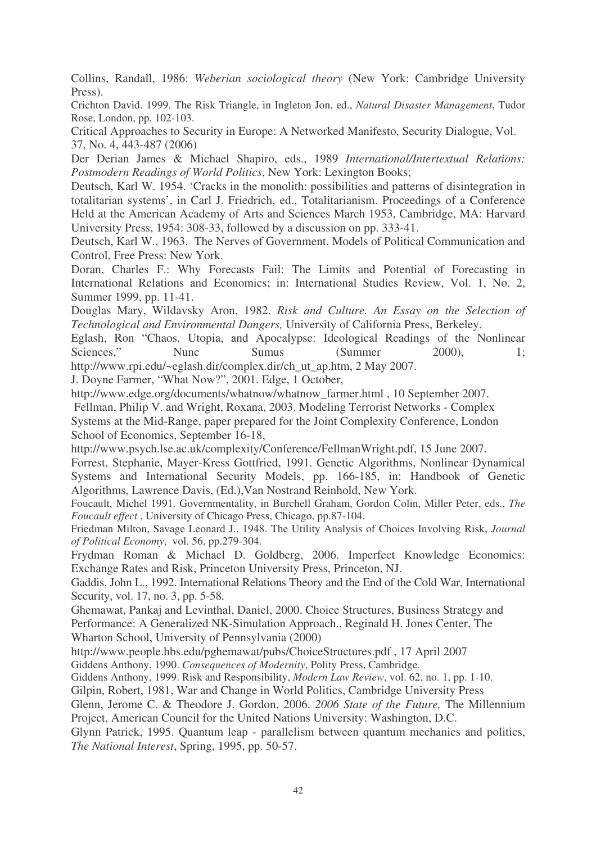Collins, Randall, 1986: *Weberian sociological theory* (New York: Cambridge University Press).

Crichton David. 1999. The Risk Triangle, in Ingleton Jon, ed., *Natural Disaster Management*, Tudor Rose, London, pp. 102-103.

Critical Approaches to Security in Europe: A Networked Manifesto, Security Dialogue, Vol. 37, No. 4, 443-487 (2006)

Der Derian James & Michael Shapiro, eds., 1989 *International/Intertextual Relations: Postmodern Readings of World Politics*, New York: Lexington Books;

Deutsch, Karl W. 1954. 'Cracks in the monolith: possibilities and patterns of disintegration in totalitarian systems', in Carl J. Friedrich, ed., Totalitarianism. Proceedings of a Conference Held at the American Academy of Arts and Sciences March 1953, Cambridge, MA: Harvard University Press, 1954: 308-33, followed by a discussion on pp. 333-41.

Deutsch, Karl W., 1963. The Nerves of Government. Models of Political Communication and Control, Free Press: New York.

Doran, Charles F.: Why Forecasts Fail: The Limits and Potential of Forecasting in International Relations and Economics; in: International Studies Review, Vol. 1, No. 2, Summer 1999, pp. 11-41.

Douglas Mary, Wildavsky Aron, 1982. *Risk and Culture. An Essay on the Selection of Technological and Environmental Dangers,* University of California Press, Berkeley.

Eglash, Ron "Chaos, Utopia, and Apocalypse: Ideological Readings of the Nonlinear Sciences," Nunc Sumus (Summer 2000), 1; http://www.rpi.edu/~eglash.dir/complex.dir/ch\_ut\_ap.htm, 2 May 2007.

J. Doyne Farmer, "What Now?", 2001. Edge, 1 October,

http://www.edge.org/documents/whatnow/whatnow\_farmer.html , 10 September 2007.

Fellman, Philip V. and Wright, Roxana, 2003. Modeling Terrorist Networks - Complex

Systems at the Mid-Range, paper prepared for the Joint Complexity Conference, London School of Economics, September 16-18,

http://www.psych.lse.ac.uk/complexity/Conference/FellmanWright.pdf, 15 June 2007.

Forrest, Stephanie, Mayer-Kress Gottfried, 1991. Genetic Algorithms, Nonlinear Dynamical Systems and International Security Models, pp. 166-185, in: Handbook of Genetic Algorithms, Lawrence Davis, (Ed.),Van Nostrand Reinhold, New York.

Foucault, Michel 1991. Governmentality, in Burchell Graham, Gordon Colin, Miller Peter, eds., *The Foucault effect* , University of Chicago Press, Chicago, pp.87-104.

Friedman Milton, Savage Leonard J., 1948. The Utility Analysis of Choices Involving Risk, *Journal of Political Economy*, vol. 56, pp.279-304.

Frydman Roman & Michael D. Goldberg, 2006. Imperfect Knowledge Economics: Exchange Rates and Risk, Princeton University Press, Princeton, NJ.

Gaddis, John L., 1992. International Relations Theory and the End of the Cold War, International Security, vol. 17, no. 3, pp. 5-58.

Ghemawat, Pankaj and Levinthal, Daniel, 2000. Choice Structures, Business Strategy and Performance: A Generalized NK-Simulation Approach., Reginald H. Jones Center, The Wharton School, University of Pennsylvania (2000)

http://www.people.hbs.edu/pghemawat/pubs/ChoiceStructures.pdf , 17 April 2007

Giddens Anthony, 1990. *Consequences of Modernity*, Polity Press, Cambridge.

Giddens Anthony, 1999. Risk and Responsibility, *Modern Law Review*, vol. 62, no. 1, pp. 1-10.

Gilpin, Robert, 1981, War and Change in World Politics, Cambridge University Press

Glenn, Jerome C. & Theodore J. Gordon, 2006. *2006 State of the Future,* The Millennium Project, American Council for the United Nations University: Washington, D.C.

Glynn Patrick, 1995. Quantum leap - parallelism between quantum mechanics and politics, *The National Interest*, Spring, 1995, pp. 50-57.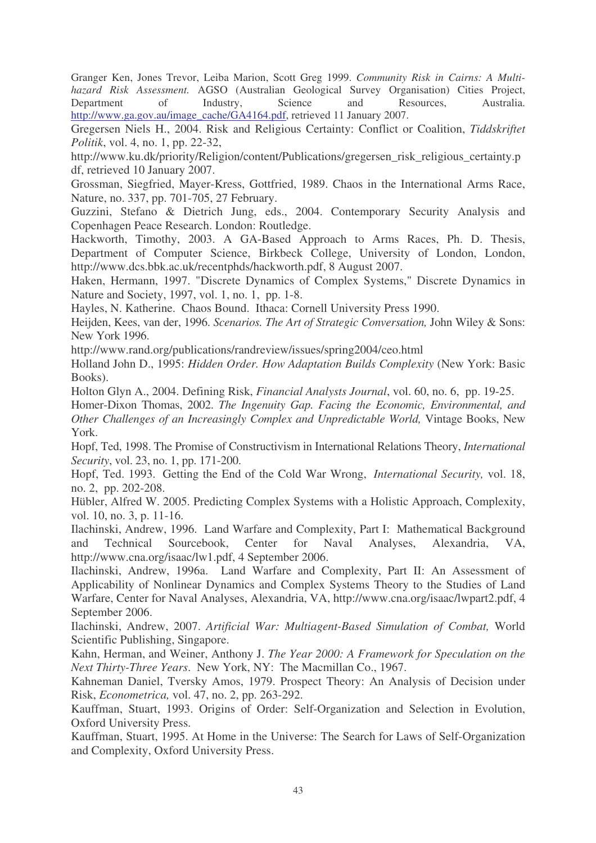Granger Ken, Jones Trevor, Leiba Marion, Scott Greg 1999. *Community Risk in Cairns: A Multihazard Risk Assessment.* AGSO (Australian Geological Survey Organisation) Cities Project, Department of Industry, Science and Resources, Australia. http://www.ga.gov.au/image\_cache/GA4164.pdf, retrieved 11 January 2007.

Gregersen Niels H., 2004. Risk and Religious Certainty: Conflict or Coalition, *Tiddskriftet Politik*, vol. 4, no. 1, pp. 22-32,

http://www.ku.dk/priority/Religion/content/Publications/gregersen\_risk\_religious\_certainty.p df, retrieved 10 January 2007.

Grossman, Siegfried, Mayer-Kress, Gottfried, 1989. Chaos in the International Arms Race, Nature, no. 337, pp. 701-705, 27 February.

Guzzini, Stefano & Dietrich Jung, eds., 2004. Contemporary Security Analysis and Copenhagen Peace Research. London: Routledge.

Hackworth, Timothy, 2003. A GA-Based Approach to Arms Races, Ph. D. Thesis, Department of Computer Science, Birkbeck College, University of London, London, http://www.dcs.bbk.ac.uk/recentphds/hackworth.pdf, 8 August 2007.

Haken, Hermann, 1997. "Discrete Dynamics of Complex Systems," Discrete Dynamics in Nature and Society, 1997, vol. 1, no. 1, pp. 1-8.

Hayles, N. Katherine. Chaos Bound. Ithaca: Cornell University Press 1990.

Heijden, Kees, van der, 1996. *Scenarios. The Art of Strategic Conversation,* John Wiley & Sons: New York 1996.

http://www.rand.org/publications/randreview/issues/spring2004/ceo.html

Holland John D., 1995: *Hidden Order. How Adaptation Builds Complexity* (New York: Basic Books).

Holton Glyn A., 2004. Defining Risk, *Financial Analysts Journal*, vol. 60, no. 6, pp. 19-25.

Homer-Dixon Thomas, 2002. *The Ingenuity Gap. Facing the Economic, Environmental, and Other Challenges of an Increasingly Complex and Unpredictable World,* Vintage Books, New York.

Hopf, Ted, 1998. The Promise of Constructivism in International Relations Theory, *International Security*, vol. 23, no. 1, pp. 171-200.

Hopf, Ted. 1993. Getting the End of the Cold War Wrong, *International Security,* vol. 18, no. 2, pp. 202-208.

Hübler, Alfred W. 2005. Predicting Complex Systems with a Holistic Approach, Complexity, vol. 10, no. 3, p. 11-16.

Ilachinski, Andrew, 1996. Land Warfare and Complexity, Part I: Mathematical Background and Technical Sourcebook, Center for Naval Analyses, Alexandria, VA, http://www.cna.org/isaac/lw1.pdf, 4 September 2006.

Ilachinski, Andrew, 1996a. Land Warfare and Complexity, Part II: An Assessment of Applicability of Nonlinear Dynamics and Complex Systems Theory to the Studies of Land Warfare, Center for Naval Analyses, Alexandria, VA, http://www.cna.org/isaac/lwpart2.pdf, 4 September 2006.

Ilachinski, Andrew, 2007. *Artificial War: Multiagent-Based Simulation of Combat,* World Scientific Publishing, Singapore.

Kahn, Herman, and Weiner, Anthony J. *The Year 2000: A Framework for Speculation on the Next Thirty-Three Years*. New York, NY: The Macmillan Co., 1967.

Kahneman Daniel, Tversky Amos, 1979. Prospect Theory: An Analysis of Decision under Risk, *Econometrica,* vol. 47, no. 2, pp. 263-292.

Kauffman, Stuart, 1993. Origins of Order: Self-Organization and Selection in Evolution, Oxford University Press.

Kauffman, Stuart, 1995. At Home in the Universe: The Search for Laws of Self-Organization and Complexity, Oxford University Press.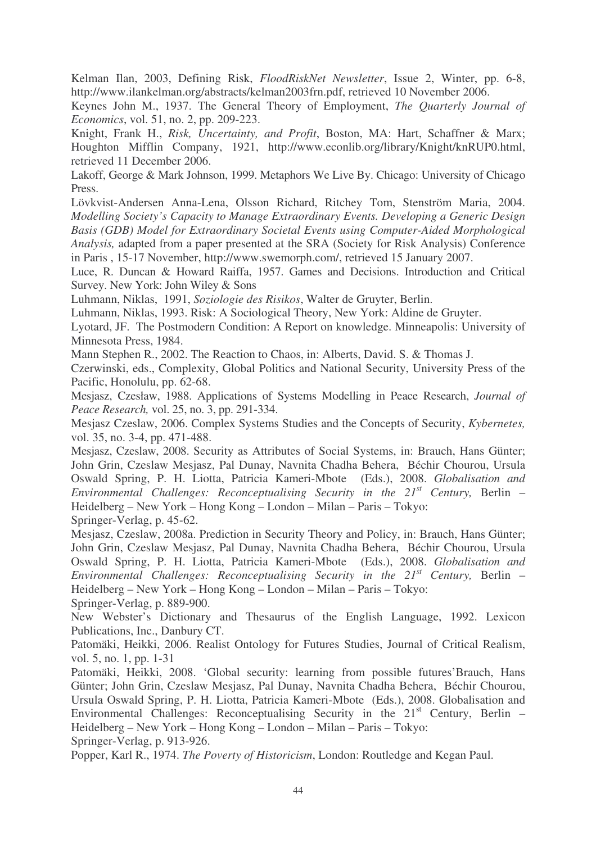Kelman Ilan, 2003, Defining Risk, *FloodRiskNet Newsletter*, Issue 2, Winter, pp. 6-8, http://www.ilankelman.org/abstracts/kelman2003frn.pdf, retrieved 10 November 2006.

Keynes John M., 1937. The General Theory of Employment, *The Quarterly Journal of Economics*, vol. 51, no. 2, pp. 209-223.

Knight, Frank H., *Risk, Uncertainty, and Profit*, Boston, MA: Hart, Schaffner & Marx; Houghton Mifflin Company, 1921, http://www.econlib.org/library/Knight/knRUP0.html, retrieved 11 December 2006.

Lakoff, George & Mark Johnson, 1999. Metaphors We Live By. Chicago: University of Chicago Press.

Lövkvist-Andersen Anna-Lena, Olsson Richard, Ritchey Tom, Stenström Maria, 2004. *Modelling Society's Capacity to Manage Extraordinary Events. Developing a Generic Design Basis (GDB) Model for Extraordinary Societal Events using Computer-Aided Morphological Analysis,* adapted from a paper presented at the SRA (Society for Risk Analysis) Conference in Paris , 15-17 November, http://www.swemorph.com/, retrieved 15 January 2007.

Luce, R. Duncan & Howard Raiffa, 1957. Games and Decisions. Introduction and Critical Survey. New York: John Wiley & Sons

Luhmann, Niklas, 1991, *Soziologie des Risikos*, Walter de Gruyter, Berlin.

Luhmann, Niklas, 1993. Risk: A Sociological Theory, New York: Aldine de Gruyter.

Lyotard, JF. The Postmodern Condition: A Report on knowledge. Minneapolis: University of Minnesota Press, 1984.

Mann Stephen R., 2002. The Reaction to Chaos, in: Alberts, David. S. & Thomas J.

Czerwinski, eds., Complexity, Global Politics and National Security, University Press of the Pacific, Honolulu, pp. 62-68.

Mesjasz, Czesław, 1988. Applications of Systems Modelling in Peace Research, *Journal of Peace Research,* vol. 25, no. 3, pp. 291-334.

Mesjasz Czeslaw, 2006. Complex Systems Studies and the Concepts of Security, *Kybernetes,* vol. 35, no. 3-4, pp. 471-488.

Mesjasz, Czeslaw, 2008. Security as Attributes of Social Systems, in: Brauch, Hans Günter; John Grin, Czeslaw Mesjasz, Pal Dunay, Navnita Chadha Behera, Béchir Chourou, Ursula Oswald Spring, P. H. Liotta, Patricia Kameri-Mbote (Eds.), 2008. *Globalisation and Environmental Challenges: Reconceptualising Security in the 21 st Century,* Berlin – Heidelberg – New York – Hong Kong – London – Milan – Paris – Tokyo:

Springer-Verlag, p. 45-62.

Mesjasz, Czeslaw, 2008a. Prediction in Security Theory and Policy, in: Brauch, Hans Günter; John Grin, Czeslaw Mesjasz, Pal Dunay, Navnita Chadha Behera, Béchir Chourou, Ursula Oswald Spring, P. H. Liotta, Patricia Kameri-Mbote (Eds.), 2008. *Globalisation and Environmental Challenges: Reconceptualising Security in the 21 st Century,* Berlin – Heidelberg – New York – Hong Kong – London – Milan – Paris – Tokyo:

Springer-Verlag, p. 889-900.

New Webster's Dictionary and Thesaurus of the English Language, 1992. Lexicon Publications, Inc., Danbury CT.

Patomäki, Heikki, 2006. Realist Ontology for Futures Studies, Journal of Critical Realism, vol. 5, no. 1, pp. 1-31

Patomäki, Heikki, 2008. 'Global security: learning from possible futures'Brauch, Hans Günter; John Grin, Czeslaw Mesjasz, Pal Dunay, Navnita Chadha Behera, Béchir Chourou, Ursula Oswald Spring, P. H. Liotta, Patricia Kameri-Mbote (Eds.), 2008. Globalisation and Environmental Challenges: Reconceptualising Security in the  $21<sup>st</sup>$  Century, Berlin – Heidelberg – New York – Hong Kong – London – Milan – Paris – Tokyo:

Springer-Verlag, p. 913-926.

Popper, Karl R., 1974. *The Poverty of Historicism*, London: Routledge and Kegan Paul.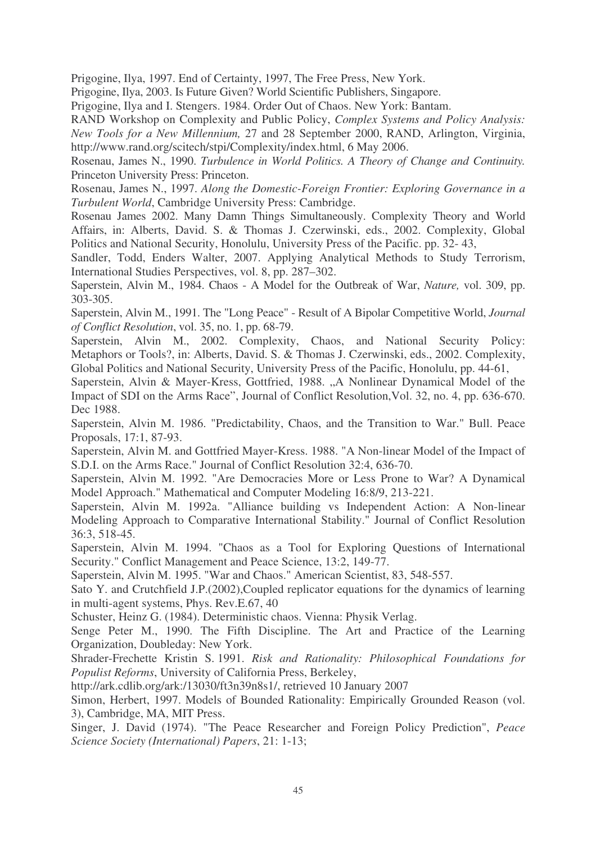Prigogine, Ilya, 1997. End of Certainty, 1997, The Free Press, New York.

Prigogine, Ilya, 2003. Is Future Given? World Scientific Publishers, Singapore.

Prigogine, Ilya and I. Stengers. 1984. Order Out of Chaos. New York: Bantam.

RAND Workshop on Complexity and Public Policy, *Complex Systems and Policy Analysis: New Tools for a New Millennium,* 27 and 28 September 2000, RAND, Arlington, Virginia, http://www.rand.org/scitech/stpi/Complexity/index.html, 6 May 2006.

Rosenau, James N., 1990. *Turbulence in World Politics. A Theory of Change and Continuity.* Princeton University Press: Princeton.

Rosenau, James N., 1997. *Along the Domestic-Foreign Frontier: Exploring Governance in a Turbulent World*, Cambridge University Press: Cambridge.

Rosenau James 2002. Many Damn Things Simultaneously. Complexity Theory and World Affairs, in: Alberts, David. S. & Thomas J. Czerwinski, eds., 2002. Complexity, Global Politics and National Security, Honolulu, University Press of the Pacific. pp. 32- 43,

Sandler, Todd, Enders Walter, 2007. Applying Analytical Methods to Study Terrorism, International Studies Perspectives, vol. 8, pp. 287–302.

Saperstein, Alvin M., 1984. Chaos - A Model for the Outbreak of War, *Nature,* vol. 309, pp. 303-305.

Saperstein, Alvin M., 1991. The "Long Peace" - Result of A Bipolar Competitive World, *Journal of Conflict Resolution*, vol. 35, no. 1, pp. 68-79.

Saperstein, Alvin M., 2002. Complexity, Chaos, and National Security Policy: Metaphors or Tools?, in: Alberts, David. S. & Thomas J. Czerwinski, eds., 2002. Complexity, Global Politics and National Security, University Press of the Pacific, Honolulu, pp. 44-61,

Saperstein, Alvin & Mayer-Kress, Gottfried, 1988. "A Nonlinear Dynamical Model of the Impact of SDI on the Arms Race", Journal of Conflict Resolution,Vol. 32, no. 4, pp. 636-670. Dec 1988.

Saperstein, Alvin M. 1986. "Predictability, Chaos, and the Transition to War." Bull. Peace Proposals, 17:1, 87-93.

Saperstein, Alvin M. and Gottfried Mayer-Kress. 1988. "A Non-linear Model of the Impact of S.D.I. on the Arms Race." Journal of Conflict Resolution 32:4, 636-70.

Saperstein, Alvin M. 1992. "Are Democracies More or Less Prone to War? A Dynamical Model Approach." Mathematical and Computer Modeling 16:8/9, 213-221.

Saperstein, Alvin M. 1992a. "Alliance building vs Independent Action: A Non-linear Modeling Approach to Comparative International Stability." Journal of Conflict Resolution 36:3, 518-45.

Saperstein, Alvin M. 1994. "Chaos as a Tool for Exploring Questions of International Security." Conflict Management and Peace Science, 13:2, 149-77.

Saperstein, Alvin M. 1995. "War and Chaos." American Scientist, 83, 548-557.

Sato Y. and Crutchfield J.P.(2002),Coupled replicator equations for the dynamics of learning in multi-agent systems, Phys. Rev.E.67, 40

Schuster, Heinz G. (1984). Deterministic chaos. Vienna: Physik Verlag.

Senge Peter M., 1990. The Fifth Discipline. The Art and Practice of the Learning Organization, Doubleday: New York.

Shrader-Frechette Kristin S. 1991. *Risk and Rationality: Philosophical Foundations for Populist Reforms*, University of California Press, Berkeley,

http://ark.cdlib.org/ark:/13030/ft3n39n8s1/, retrieved 10 January 2007

Simon, Herbert, 1997. Models of Bounded Rationality: Empirically Grounded Reason (vol. 3), Cambridge, MA, MIT Press.

Singer, J. David (1974). "The Peace Researcher and Foreign Policy Prediction", *Peace Science Society (International) Papers*, 21: 1-13;